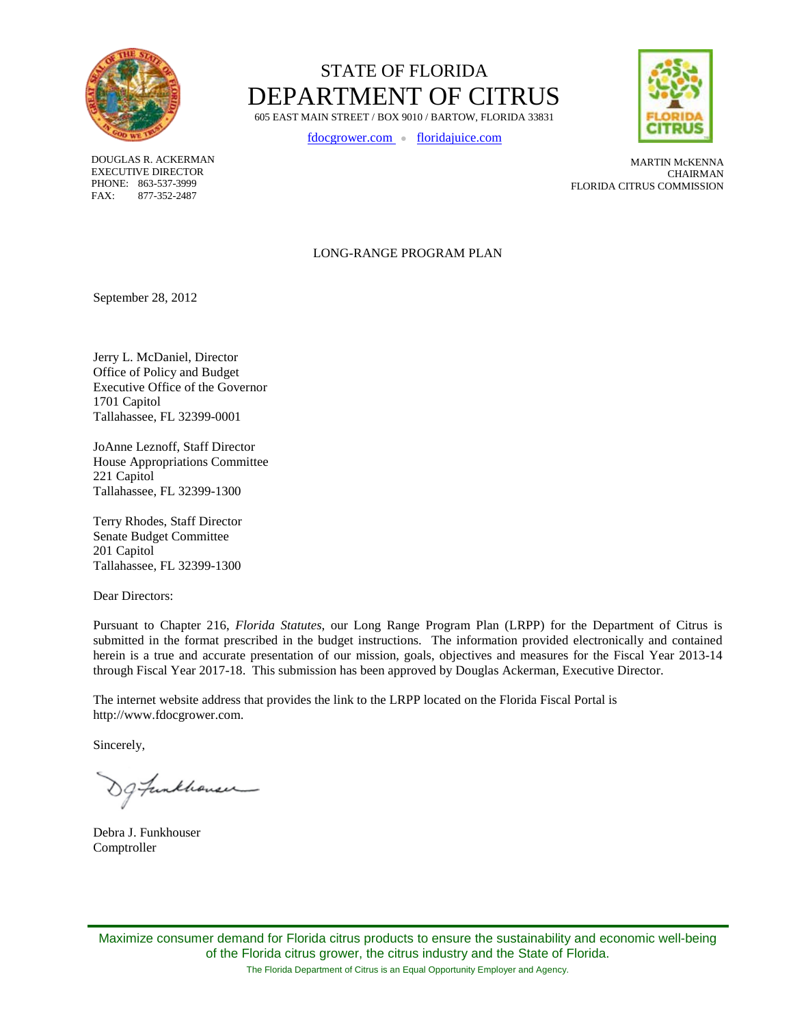

STATE OF FLORIDA DEPARTMENT OF CITRUS 605 EAST MAIN STREET / BOX 9010 / BARTOW, FLORIDA 33831

[fdocgrower.com](http://www.fdocgrower.com/) ● [floridajuice.com](http://www.floridajuice.com/)



DOUGLAS R. ACKERMAN EXECUTIVE DIRECTOR PHONE: 863-537-3999 FAX: 877-352-2487

MARTIN McKENNA CHAIRMAN FLORIDA CITRUS COMMISSION

#### LONG-RANGE PROGRAM PLAN

September 28, 2012

Jerry L. McDaniel, Director Office of Policy and Budget Executive Office of the Governor 1701 Capitol Tallahassee, FL 32399-0001

JoAnne Leznoff, Staff Director House Appropriations Committee 221 Capitol Tallahassee, FL 32399-1300

Terry Rhodes, Staff Director Senate Budget Committee 201 Capitol Tallahassee, FL 32399-1300

Dear Directors:

Pursuant to Chapter 216, *Florida Statutes*, our Long Range Program Plan (LRPP) for the Department of Citrus is submitted in the format prescribed in the budget instructions. The information provided electronically and contained herein is a true and accurate presentation of our mission, goals, objectives and measures for the Fiscal Year 2013-14 through Fiscal Year 2017-18. This submission has been approved by Douglas Ackerman, Executive Director.

The internet website address that provides the link to the LRPP located on the Florida Fiscal Portal is http://www.fdocgrower.com.

Sincerely,

g funkhouser

Debra J. Funkhouser Comptroller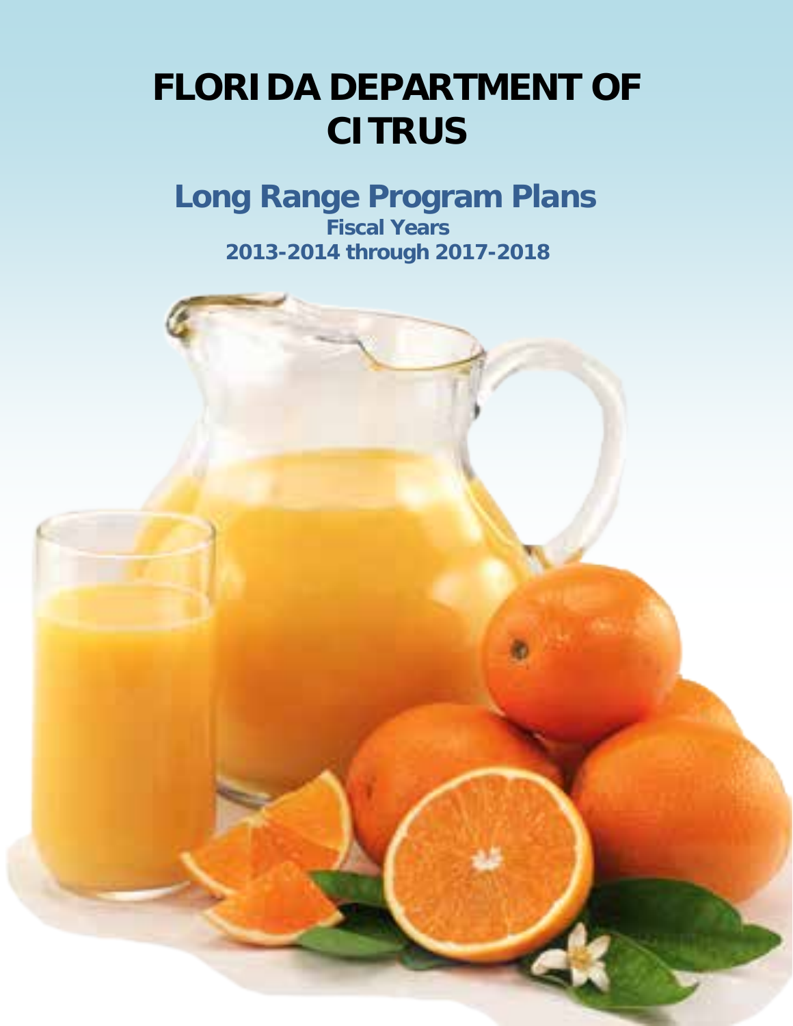## **FLORIDA DEPARTMENT OF CITRUS**

### **Long Range Program Plans Fiscal Years 2013-2014 through 2017-2018**

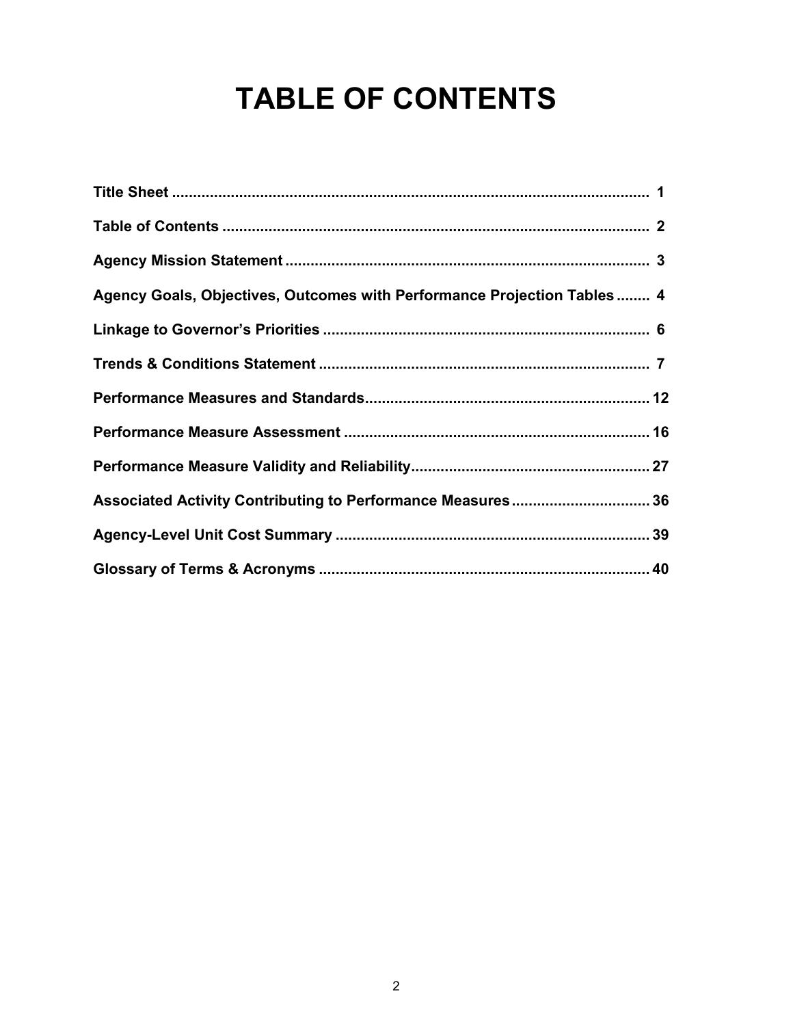## **TABLE OF CONTENTS**

| Agency Goals, Objectives, Outcomes with Performance Projection Tables  4 |
|--------------------------------------------------------------------------|
|                                                                          |
|                                                                          |
|                                                                          |
|                                                                          |
|                                                                          |
| Associated Activity Contributing to Performance Measures 36              |
|                                                                          |
|                                                                          |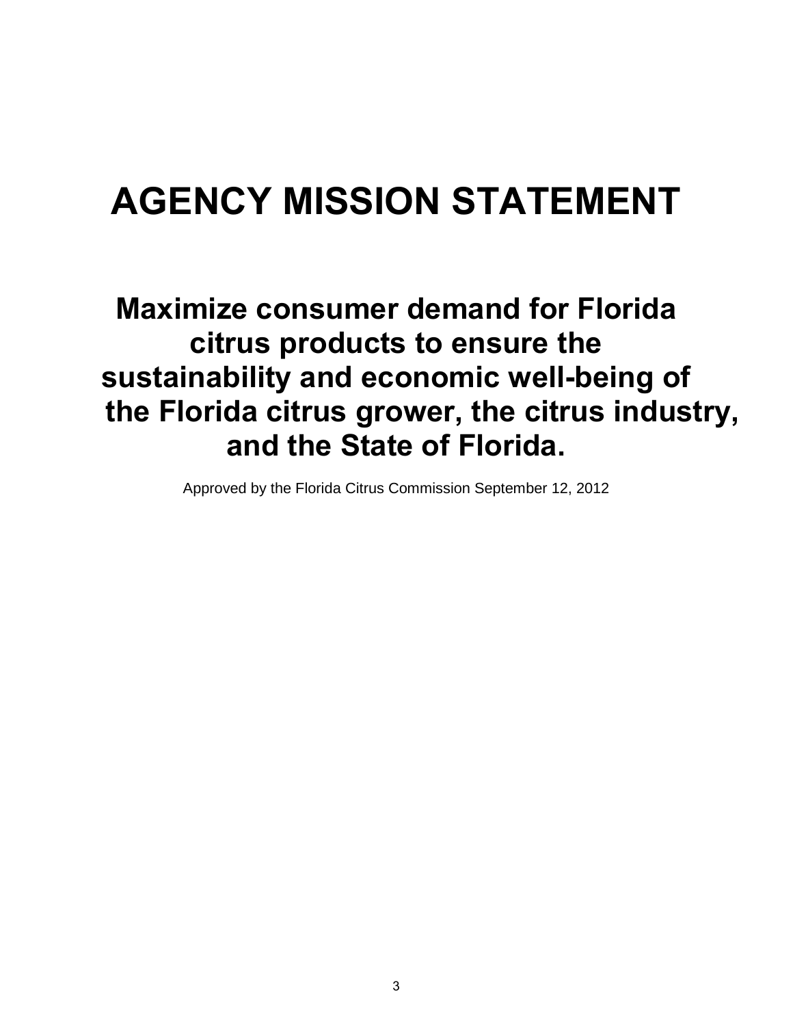## **AGENCY MISSION STATEMENT**

### **Maximize consumer demand for Florida citrus products to ensure the sustainability and economic well-being of the Florida citrus grower, the citrus industry, and the State of Florida.**

Approved by the Florida Citrus Commission September 12, 2012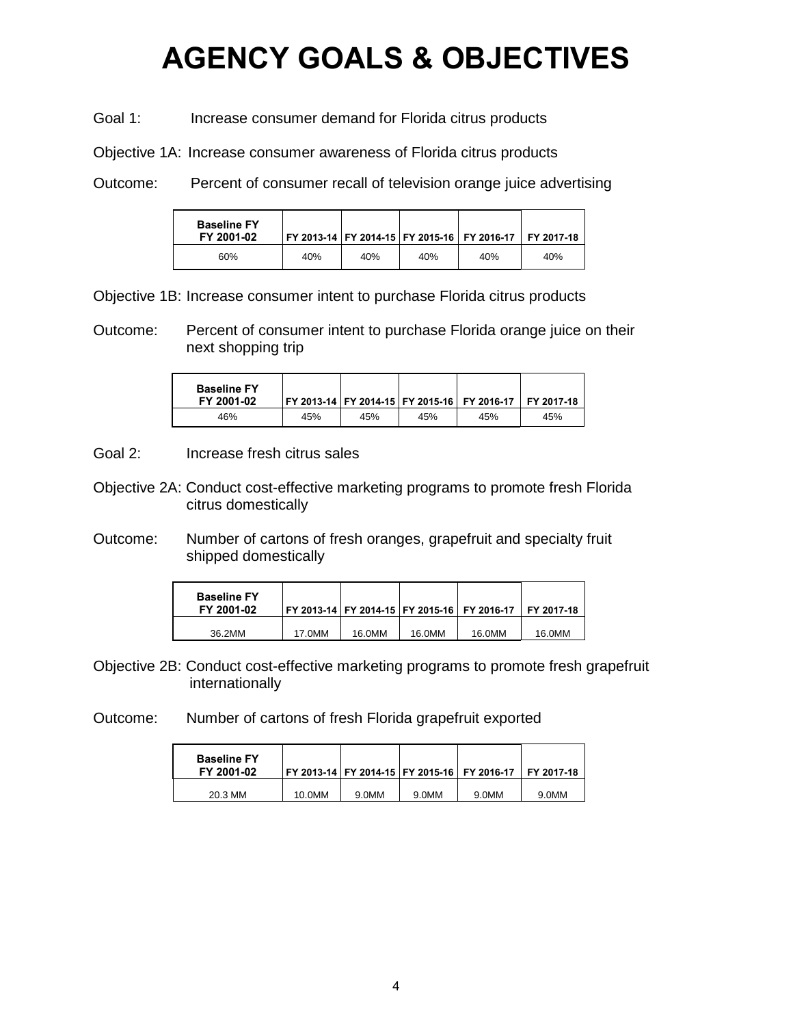### **AGENCY GOALS & OBJECTIVES**

Goal 1: Increase consumer demand for Florida citrus products

Objective 1A: Increase consumer awareness of Florida citrus products

Outcome: Percent of consumer recall of television orange juice advertising

| <b>Baseline FY</b><br>FY 2001-02 |     |     |     | FY 2013-14 FY 2014-15 FY 2015-16 FY 2016-17 FY 2017-18 |     |
|----------------------------------|-----|-----|-----|--------------------------------------------------------|-----|
| 60%                              | 40% | 40% | 40% | 40%                                                    | 40% |

Objective 1B: Increase consumer intent to purchase Florida citrus products

Outcome: Percent of consumer intent to purchase Florida orange juice on their next shopping trip

| <b>Baseline FY</b><br>FY 2001-02 |     |     |     | FY 2013-14   FY 2014-15   FY 2015-16    FY 2016-17      FY 2017-18 |     |
|----------------------------------|-----|-----|-----|--------------------------------------------------------------------|-----|
| 46%                              | 45% | 45% | 45% | 45%                                                                | 45% |

Goal 2: Increase fresh citrus sales

Objective 2A: Conduct cost-effective marketing programs to promote fresh Florida citrus domestically

Outcome: Number of cartons of fresh oranges, grapefruit and specialty fruit shipped domestically

| <b>Baseline FY</b><br>FY 2001-02 |        |        | l FY 2013-14 l FY 2014-15 l FY 2015-16 l FY 2016-17 |        | FY 2017-18 |
|----------------------------------|--------|--------|-----------------------------------------------------|--------|------------|
| 36.2MM                           | 17.0MM | 16.0MM | 16.0MM                                              | 16.0MM | 16.0MM     |

Objective 2B: Conduct cost-effective marketing programs to promote fresh grapefruit internationally

Outcome: Number of cartons of fresh Florida grapefruit exported

| <b>Baseline FY</b><br>FY 2001-02 |        |       |       | FY 2013-14 FY 2014-15 FY 2015-16 FY 2016-17 | FY 2017-18 |
|----------------------------------|--------|-------|-------|---------------------------------------------|------------|
| 20.3 MM                          | 10.0MM | 9.0MM | 9.0MM | 9.0MM                                       | 9.0MM      |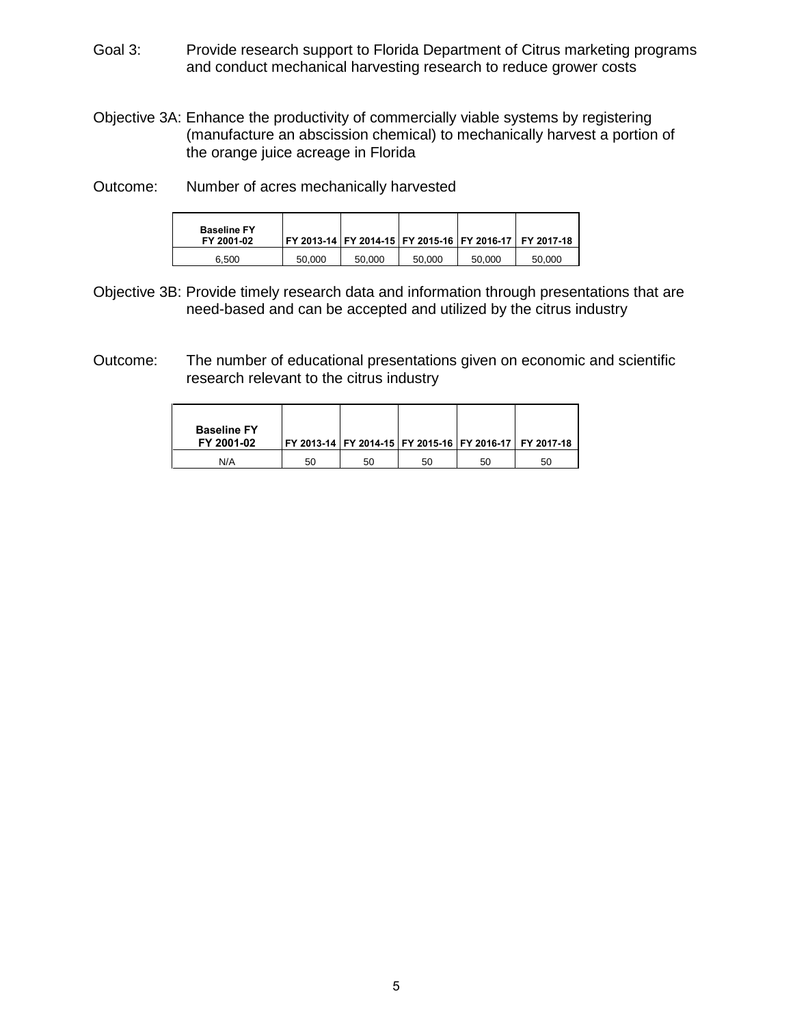- Goal 3: Provide research support to Florida Department of Citrus marketing programs and conduct mechanical harvesting research to reduce grower costs
- Objective 3A: Enhance the productivity of commercially viable systems by registering (manufacture an abscission chemical) to mechanically harvest a portion of the orange juice acreage in Florida

Outcome: Number of acres mechanically harvested

| <b>Baseline FY</b><br>FY 2001-02 |        |        |        |        | FY 2013-14 FY 2014-15 FY 2015-16 FY 2016-17 FY 2017-18 |
|----------------------------------|--------|--------|--------|--------|--------------------------------------------------------|
| 6.500                            | 50.000 | 50,000 | 50,000 | 50,000 | 50,000                                                 |

- Objective 3B: Provide timely research data and information through presentations that are need-based and can be accepted and utilized by the citrus industry
- Outcome: The number of educational presentations given on economic and scientific research relevant to the citrus industry

| <b>Baseline FY</b><br>FY 2001-02 |    |    |    |    | FY 2013-14 FY 2014-15 FY 2015-16 FY 2016-17 FY 2017-18 |
|----------------------------------|----|----|----|----|--------------------------------------------------------|
| N/A                              | 50 | 50 | 50 | 50 | 50                                                     |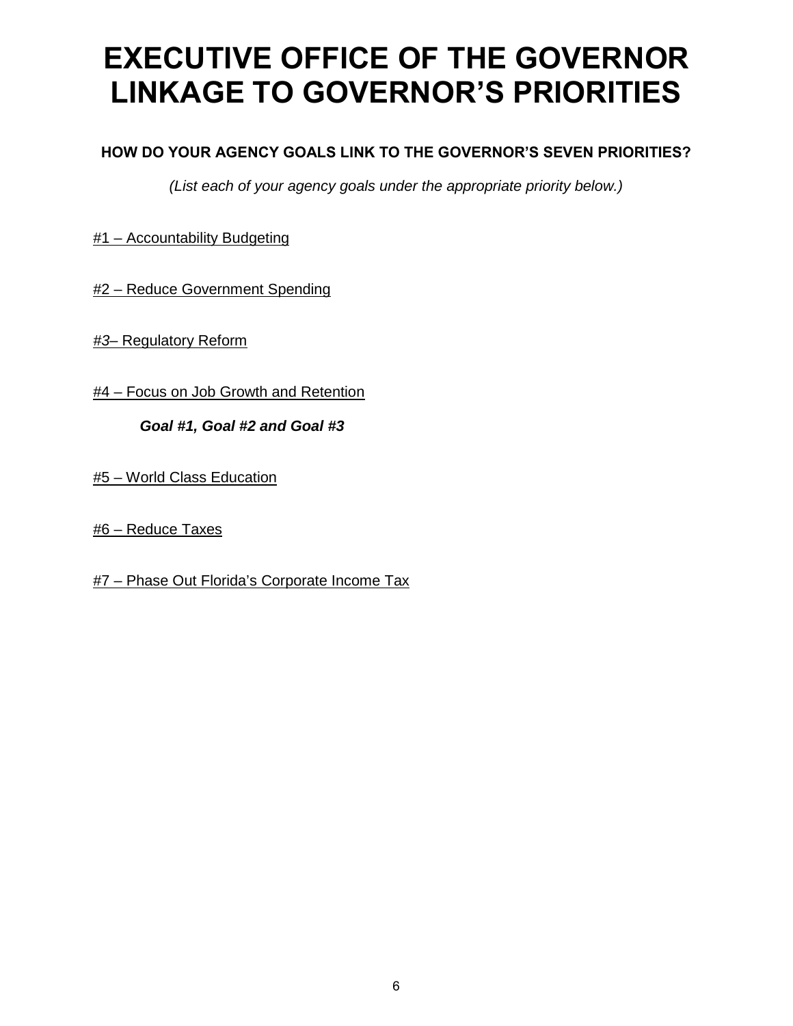### **EXECUTIVE OFFICE OF THE GOVERNOR LINKAGE TO GOVERNOR'S PRIORITIES**

#### **HOW DO YOUR AGENCY GOALS LINK TO THE GOVERNOR'S SEVEN PRIORITIES?**

*(List each of your agency goals under the appropriate priority below.)*

#1 – Accountability Budgeting

#2 – Reduce Government Spending

*#3–* Regulatory Reform

#4 – Focus on Job Growth and Retention

*Goal #1, Goal #2 and Goal #3*

#5 – World Class Education

#6 – Reduce Taxes

#7 – Phase Out Florida's Corporate Income Tax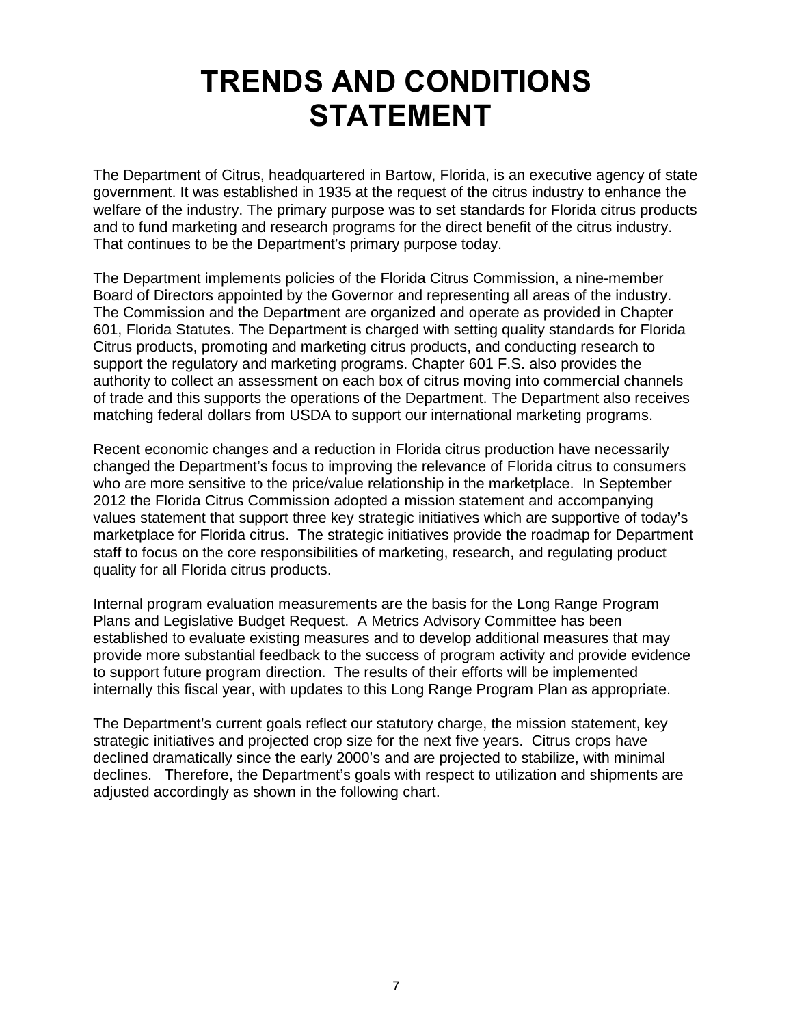### **TRENDS AND CONDITIONS STATEMENT**

The Department of Citrus, headquartered in Bartow, Florida, is an executive agency of state government. It was established in 1935 at the request of the citrus industry to enhance the welfare of the industry. The primary purpose was to set standards for Florida citrus products and to fund marketing and research programs for the direct benefit of the citrus industry. That continues to be the Department's primary purpose today.

The Department implements policies of the Florida Citrus Commission, a nine-member Board of Directors appointed by the Governor and representing all areas of the industry. The Commission and the Department are organized and operate as provided in Chapter 601, Florida Statutes. The Department is charged with setting quality standards for Florida Citrus products, promoting and marketing citrus products, and conducting research to support the regulatory and marketing programs. Chapter 601 F.S. also provides the authority to collect an assessment on each box of citrus moving into commercial channels of trade and this supports the operations of the Department. The Department also receives matching federal dollars from USDA to support our international marketing programs.

Recent economic changes and a reduction in Florida citrus production have necessarily changed the Department's focus to improving the relevance of Florida citrus to consumers who are more sensitive to the price/value relationship in the marketplace. In September 2012 the Florida Citrus Commission adopted a mission statement and accompanying values statement that support three key strategic initiatives which are supportive of today's marketplace for Florida citrus. The strategic initiatives provide the roadmap for Department staff to focus on the core responsibilities of marketing, research, and regulating product quality for all Florida citrus products.

Internal program evaluation measurements are the basis for the Long Range Program Plans and Legislative Budget Request. A Metrics Advisory Committee has been established to evaluate existing measures and to develop additional measures that may provide more substantial feedback to the success of program activity and provide evidence to support future program direction. The results of their efforts will be implemented internally this fiscal year, with updates to this Long Range Program Plan as appropriate.

The Department's current goals reflect our statutory charge, the mission statement, key strategic initiatives and projected crop size for the next five years. Citrus crops have declined dramatically since the early 2000's and are projected to stabilize, with minimal declines. Therefore, the Department's goals with respect to utilization and shipments are adjusted accordingly as shown in the following chart.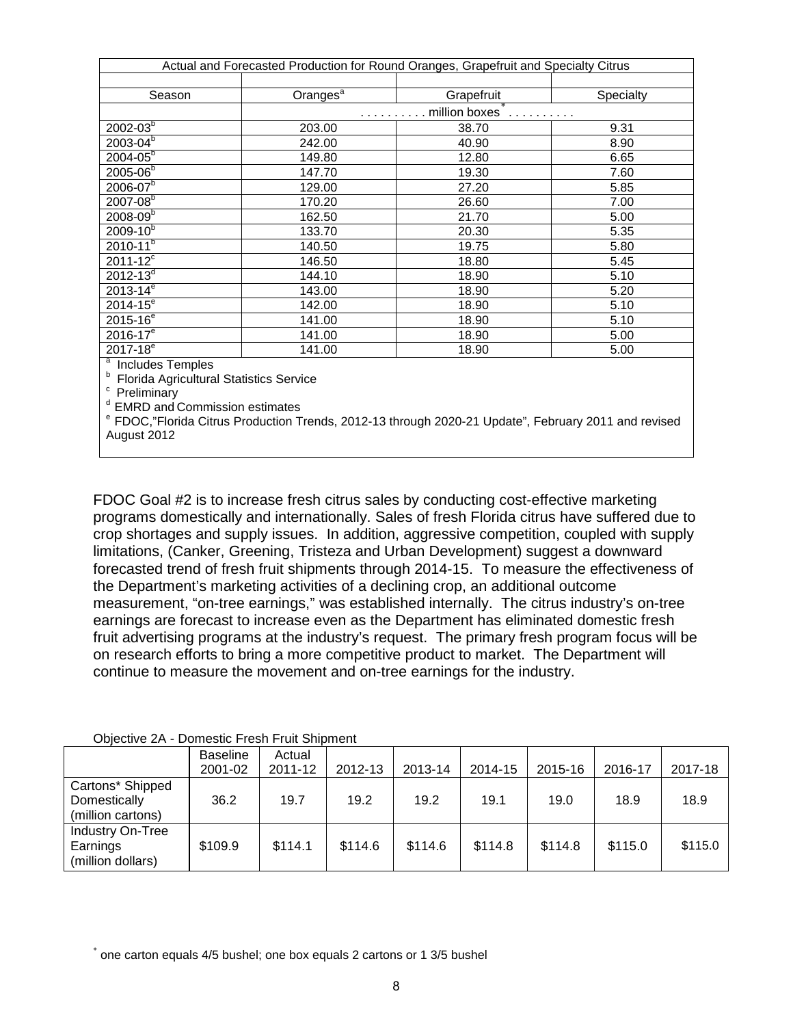| Actual and Forecasted Production for Round Oranges, Grapefruit and Specialty Citrus |                      |                                      |           |  |  |  |  |  |
|-------------------------------------------------------------------------------------|----------------------|--------------------------------------|-----------|--|--|--|--|--|
|                                                                                     |                      |                                      |           |  |  |  |  |  |
| Season                                                                              | Oranges <sup>a</sup> | Grapefruit                           | Specialty |  |  |  |  |  |
|                                                                                     |                      | $\ldots \ldots \ldots$ million boxes |           |  |  |  |  |  |
| $2002 - 03^{b}$                                                                     | 203.00               | 38.70                                | 9.31      |  |  |  |  |  |
| $2003 - 04^{\overline{b}}$                                                          | 242.00               | 40.90                                | 8.90      |  |  |  |  |  |
| $2004 - 05^{b}$                                                                     | 149.80               | 12.80                                | 6.65      |  |  |  |  |  |
| $2005 - 06^{b}$                                                                     | 147.70               | 19.30                                | 7.60      |  |  |  |  |  |
| $2006 - 07^{b}$                                                                     | 129.00               | 27.20                                | 5.85      |  |  |  |  |  |
| $2007 - 08^{b}$                                                                     | 170.20               | 26.60                                | 7.00      |  |  |  |  |  |
| $2008 - 09^{b}$                                                                     | 162.50               | 21.70                                | 5.00      |  |  |  |  |  |
| $2009 - 10^{b}$                                                                     | 133.70               | 20.30                                | 5.35      |  |  |  |  |  |
| $2010 - 11^{b}$                                                                     | 140.50               | 19.75                                | 5.80      |  |  |  |  |  |
| $2011 - 12^{c}$                                                                     | 146.50               | 18.80                                | 5.45      |  |  |  |  |  |
| $2012 - 13^{d}$                                                                     | 144.10               | 18.90                                | 5.10      |  |  |  |  |  |
| $2013 - 14^{e}$                                                                     | 143.00               | 18.90                                | 5.20      |  |  |  |  |  |
| $2014 - 15^{e}$                                                                     | 142.00               | 18.90                                | 5.10      |  |  |  |  |  |
| $2015 - 16^{e}$                                                                     | 141.00               | 18.90                                | 5.10      |  |  |  |  |  |
| $2016 - 17^{e}$                                                                     | 141.00               | 18.90                                | 5.00      |  |  |  |  |  |
| $2017 - 18^{e}$                                                                     | 141.00               | 18.90                                | 5.00      |  |  |  |  |  |
| <sup>a</sup> Ingludes Temples                                                       |                      |                                      |           |  |  |  |  |  |

 $a$  Includes Temples

<sup>b</sup> Florida Agricultural Statistics Service<br><sup>c</sup> Preliminary

<sup>d</sup> EMRD and Commission estimates<br><sup>e</sup> FDOC,"Florida Citrus Production Trends, 2012-13 through 2020-21 Update", February 2011 and revised August 2012

FDOC Goal #2 is to increase fresh citrus sales by conducting cost-effective marketing programs domestically and internationally. Sales of fresh Florida citrus have suffered due to crop shortages and supply issues. In addition, aggressive competition, coupled with supply limitations, (Canker, Greening, Tristeza and Urban Development) suggest a downward forecasted trend of fresh fruit shipments through 2014-15. To measure the effectiveness of the Department's marketing activities of a declining crop, an additional outcome measurement, "on-tree earnings," was established internally. The citrus industry's on-tree earnings are forecast to increase even as the Department has eliminated domestic fresh fruit advertising programs at the industry's request. The primary fresh program focus will be on research efforts to bring a more competitive product to market. The Department will continue to measure the movement and on-tree earnings for the industry.

| $\cup$<br><b>PUTTOUR LIGHT LIGHT OF REPORT</b>        |                 |         |         |         |         |         |         |         |
|-------------------------------------------------------|-----------------|---------|---------|---------|---------|---------|---------|---------|
|                                                       | <b>Baseline</b> | Actual  |         |         |         |         |         |         |
|                                                       | 2001-02         | 2011-12 | 2012-13 | 2013-14 | 2014-15 | 2015-16 | 2016-17 | 2017-18 |
| Cartons* Shipped<br>Domestically<br>(million cartons) | 36.2            | 19.7    | 19.2    | 19.2    | 19.1    | 19.0    | 18.9    | 18.9    |
| Industry On-Tree<br>Earnings<br>(million dollars)     | \$109.9         | \$114.1 | \$114.6 | \$114.6 | \$114.8 | \$114.8 | \$115.0 | \$115.0 |

Objective 2A - Domestic Fresh Fruit Shipment

<span id="page-8-0"></span>\* one carton equals 4/5 bushel; one box equals 2 cartons or 1 3/5 bushel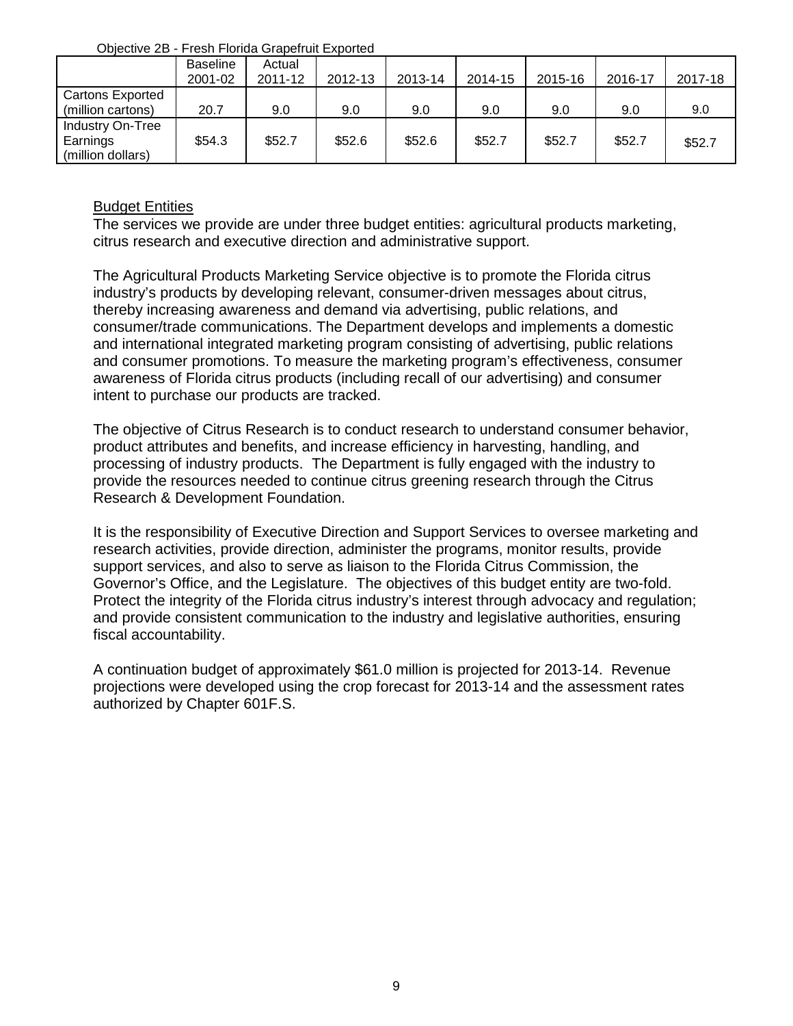Objective 2B - Fresh Florida Grapefruit Exported

| ----------              |                 |         |         |         |         |         |         |         |
|-------------------------|-----------------|---------|---------|---------|---------|---------|---------|---------|
|                         | <b>Baseline</b> | Actual  |         |         |         |         |         |         |
|                         | 2001-02         | 2011-12 | 2012-13 | 2013-14 | 2014-15 | 2015-16 | 2016-17 | 2017-18 |
| <b>Cartons Exported</b> |                 |         |         |         |         |         |         |         |
| (million cartons)       | 20.7            | 9.0     | 9.0     | 9.0     | 9.0     | 9.0     | 9.0     | 9.0     |
| Industry On-Tree        |                 |         |         |         |         |         |         |         |
| Earnings                | \$54.3          | \$52.7  | \$52.6  | \$52.6  | \$52.7  | \$52.7  | \$52.7  | \$52.7  |
| (million dollars)       |                 |         |         |         |         |         |         |         |

#### Budget Entities

The services we provide are under three budget entities: agricultural products marketing, citrus research and executive direction and administrative support.

The Agricultural Products Marketing Service objective is to promote the Florida citrus industry's products by developing relevant, consumer-driven messages about citrus, thereby increasing awareness and demand via advertising, public relations, and consumer/trade communications. The Department develops and implements a domestic and international integrated marketing program consisting of advertising, public relations and consumer promotions. To measure the marketing program's effectiveness, consumer awareness of Florida citrus products (including recall of our advertising) and consumer intent to purchase our products are tracked.

The objective of Citrus Research is to conduct research to understand consumer behavior, product attributes and benefits, and increase efficiency in harvesting, handling, and processing of industry products. The Department is fully engaged with the industry to provide the resources needed to continue citrus greening research through the Citrus Research & Development Foundation.

It is the responsibility of Executive Direction and Support Services to oversee marketing and research activities, provide direction, administer the programs, monitor results, provide support services, and also to serve as liaison to the Florida Citrus Commission, the Governor's Office, and the Legislature. The objectives of this budget entity are two-fold. Protect the integrity of the Florida citrus industry's interest through advocacy and regulation; and provide consistent communication to the industry and legislative authorities, ensuring fiscal accountability.

A continuation budget of approximately \$61.0 million is projected for 2013-14. Revenue projections were developed using the crop forecast for 2013-14 and the assessment rates authorized by Chapter 601F.S.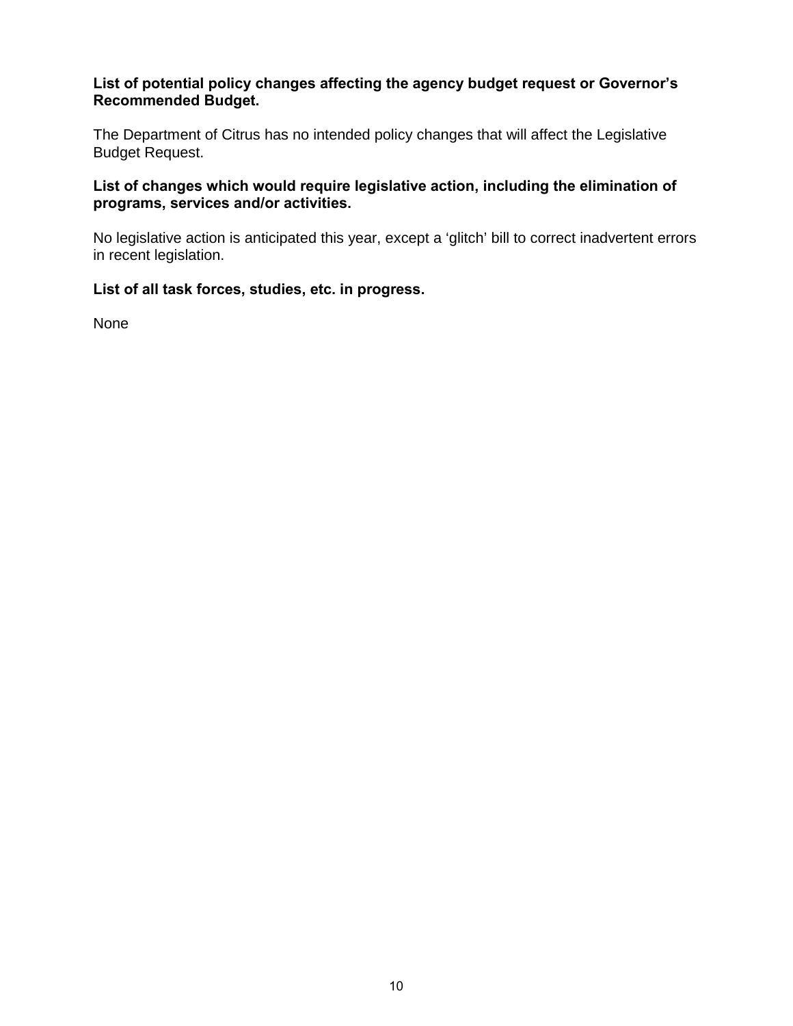#### **List of potential policy changes affecting the agency budget request or Governor's Recommended Budget.**

The Department of Citrus has no intended policy changes that will affect the Legislative Budget Request.

**List of changes which would require legislative action, including the elimination of programs, services and/or activities.**

No legislative action is anticipated this year, except a 'glitch' bill to correct inadvertent errors in recent legislation.

#### **List of all task forces, studies, etc. in progress.**

None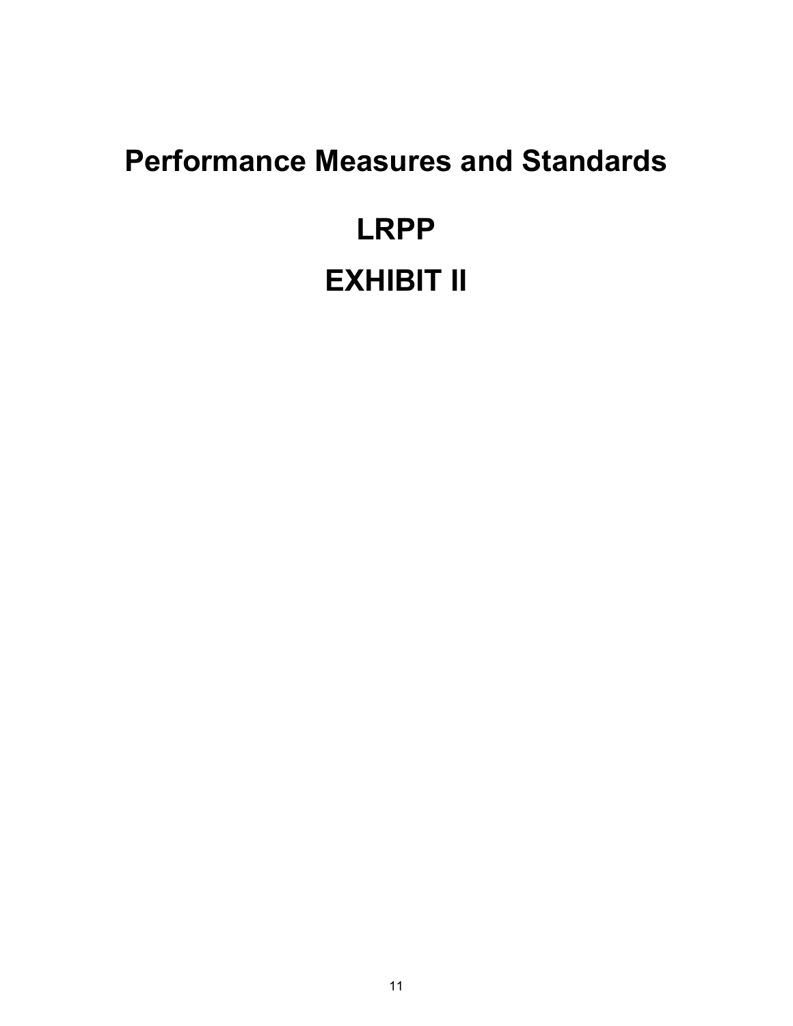# **Performance Measures and Standards LRPP EXHIBIT II**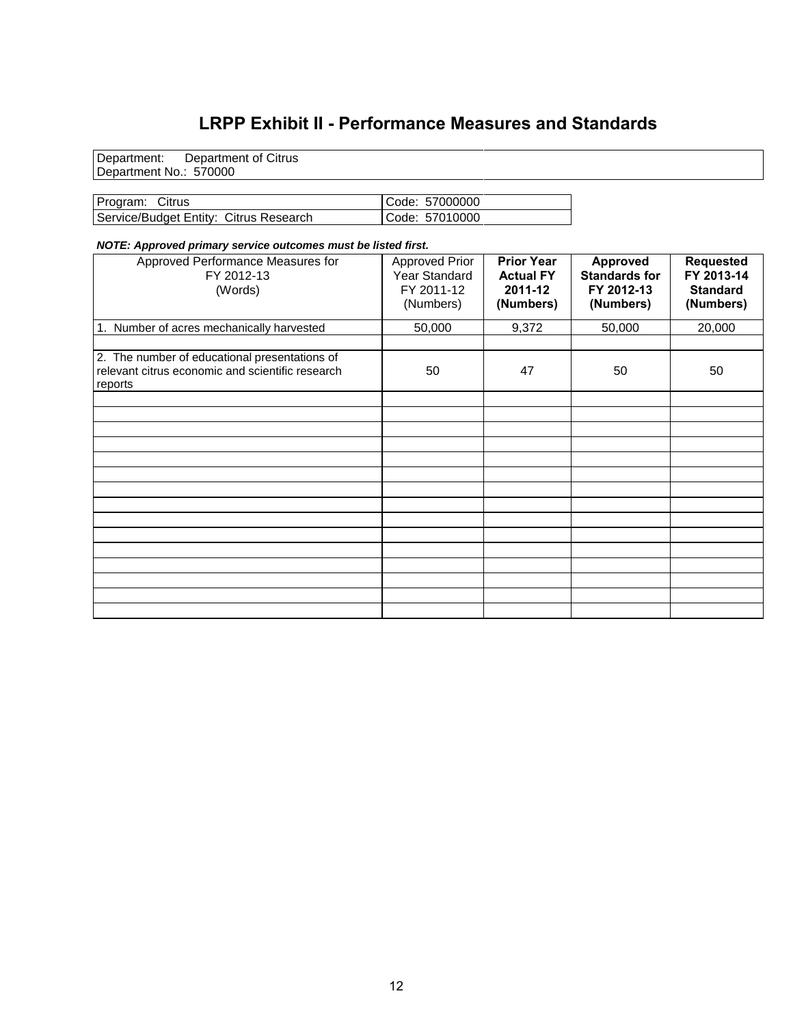#### **LRPP Exhibit II - Performance Measures and Standards**

Department: Department of Citrus Department No.: 570000

| Program: Citrus                        | Code: 57000000 |
|----------------------------------------|----------------|
| Service/Budget Entity: Citrus Research | Code: 57010000 |

#### *NOTE: Approved primary service outcomes must be listed first.*

| Approved Performance Measures for<br>FY 2012-13<br>(Words)                                                   | <b>Approved Prior</b><br>Year Standard<br>FY 2011-12<br>(Numbers) | <b>Prior Year</b><br><b>Actual FY</b><br>2011-12<br>(Numbers) | <b>Approved</b><br><b>Standards for</b><br>FY 2012-13<br>(Numbers) | <b>Requested</b><br>FY 2013-14<br><b>Standard</b><br>(Numbers) |
|--------------------------------------------------------------------------------------------------------------|-------------------------------------------------------------------|---------------------------------------------------------------|--------------------------------------------------------------------|----------------------------------------------------------------|
| 1. Number of acres mechanically harvested                                                                    | 50,000                                                            | 9,372                                                         | 50,000                                                             | 20,000                                                         |
|                                                                                                              |                                                                   |                                                               |                                                                    |                                                                |
| 2. The number of educational presentations of<br>relevant citrus economic and scientific research<br>reports | 50                                                                | 47                                                            | 50                                                                 | 50                                                             |
|                                                                                                              |                                                                   |                                                               |                                                                    |                                                                |
|                                                                                                              |                                                                   |                                                               |                                                                    |                                                                |
|                                                                                                              |                                                                   |                                                               |                                                                    |                                                                |
|                                                                                                              |                                                                   |                                                               |                                                                    |                                                                |
|                                                                                                              |                                                                   |                                                               |                                                                    |                                                                |
|                                                                                                              |                                                                   |                                                               |                                                                    |                                                                |
|                                                                                                              |                                                                   |                                                               |                                                                    |                                                                |
|                                                                                                              |                                                                   |                                                               |                                                                    |                                                                |
|                                                                                                              |                                                                   |                                                               |                                                                    |                                                                |
|                                                                                                              |                                                                   |                                                               |                                                                    |                                                                |
|                                                                                                              |                                                                   |                                                               |                                                                    |                                                                |
|                                                                                                              |                                                                   |                                                               |                                                                    |                                                                |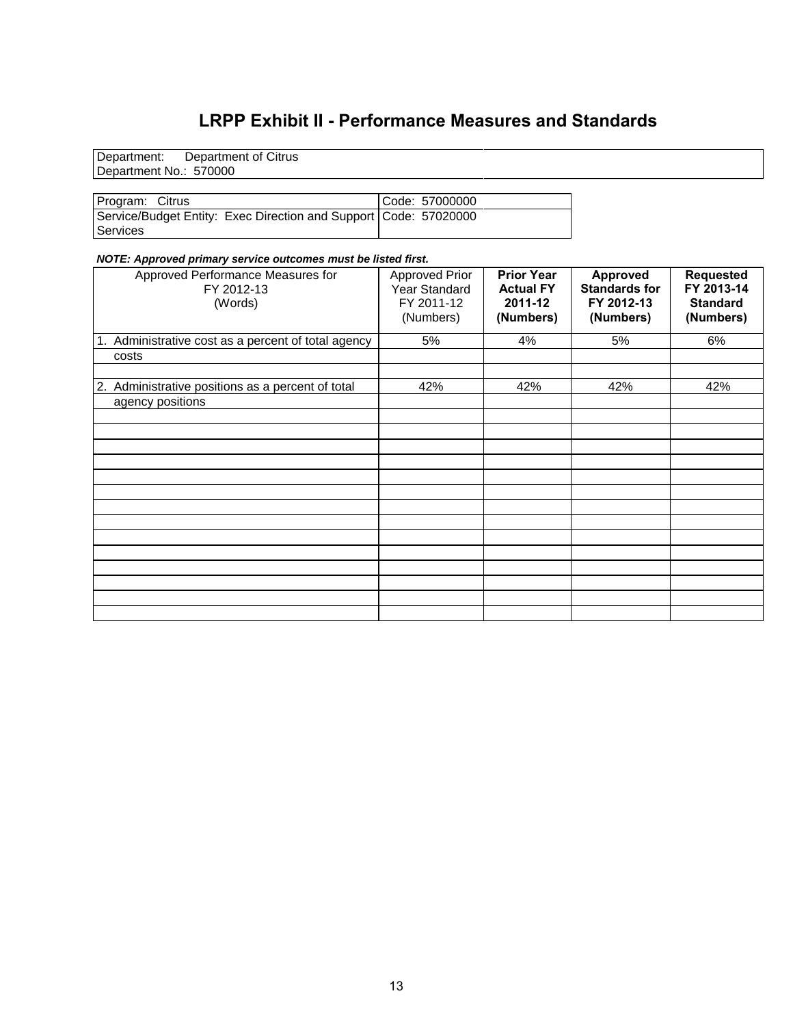#### **LRPP Exhibit II - Performance Measures and Standards**

Department: Department of Citrus Department No.: 570000

Program: Citrus Code: 57000000 Service/Budget Entity: Exec Direction and Support Code: 57020000 Services

#### *NOTE: Approved primary service outcomes must be listed first.*

| Approved Performance Measures for<br>FY 2012-13<br>(Words) | <b>Approved Prior</b><br>Year Standard<br>FY 2011-12<br>(Numbers) | <b>Prior Year</b><br><b>Actual FY</b><br>2011-12<br>(Numbers) | <b>Approved</b><br><b>Standards for</b><br>FY 2012-13<br>(Numbers) | <b>Requested</b><br>FY 2013-14<br><b>Standard</b><br>(Numbers) |
|------------------------------------------------------------|-------------------------------------------------------------------|---------------------------------------------------------------|--------------------------------------------------------------------|----------------------------------------------------------------|
| 1. Administrative cost as a percent of total agency        | 5%                                                                | 4%                                                            | 5%                                                                 | 6%                                                             |
| costs                                                      |                                                                   |                                                               |                                                                    |                                                                |
|                                                            |                                                                   |                                                               |                                                                    |                                                                |
| 2. Administrative positions as a percent of total          | 42%                                                               | 42%                                                           | 42%                                                                | 42%                                                            |
| agency positions                                           |                                                                   |                                                               |                                                                    |                                                                |
|                                                            |                                                                   |                                                               |                                                                    |                                                                |
|                                                            |                                                                   |                                                               |                                                                    |                                                                |
|                                                            |                                                                   |                                                               |                                                                    |                                                                |
|                                                            |                                                                   |                                                               |                                                                    |                                                                |
|                                                            |                                                                   |                                                               |                                                                    |                                                                |
|                                                            |                                                                   |                                                               |                                                                    |                                                                |
|                                                            |                                                                   |                                                               |                                                                    |                                                                |
|                                                            |                                                                   |                                                               |                                                                    |                                                                |
|                                                            |                                                                   |                                                               |                                                                    |                                                                |
|                                                            |                                                                   |                                                               |                                                                    |                                                                |
|                                                            |                                                                   |                                                               |                                                                    |                                                                |
|                                                            |                                                                   |                                                               |                                                                    |                                                                |
|                                                            |                                                                   |                                                               |                                                                    |                                                                |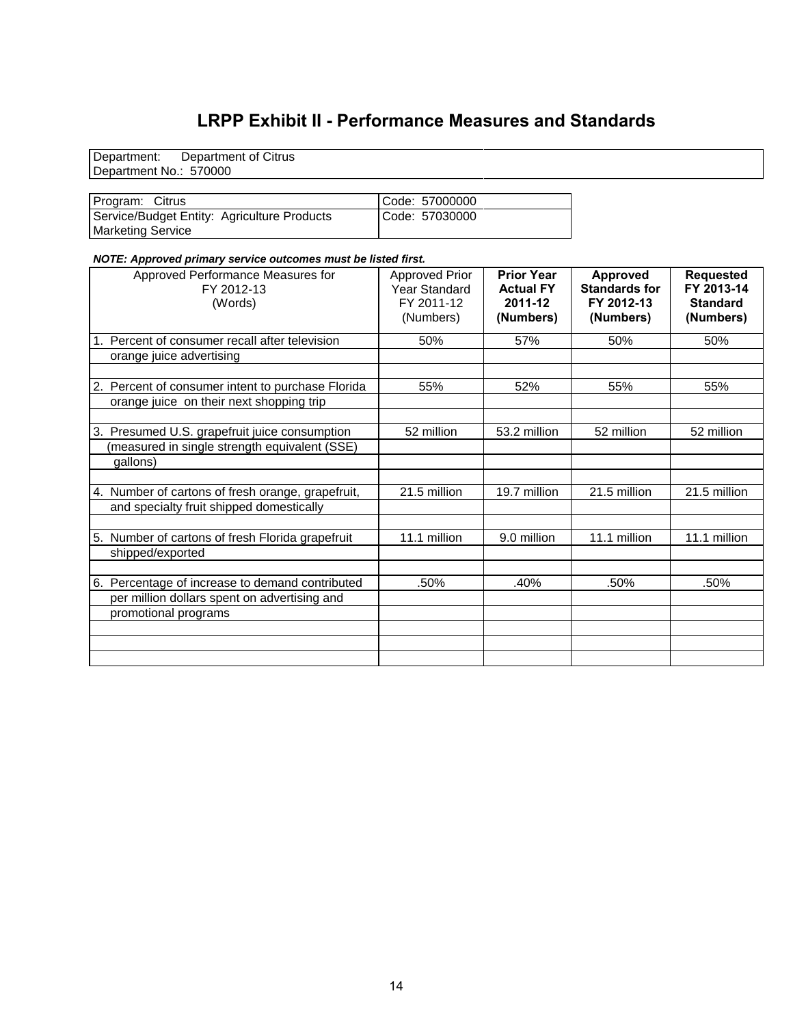#### **LRPP Exhibit II - Performance Measures and Standards**

Department: Department of Citrus Department No.: 570000

| Program: Citrus                             | Code: 57000000 |
|---------------------------------------------|----------------|
| Service/Budget Entity: Agriculture Products | Code: 57030000 |
| <b>Marketing Service</b>                    |                |

#### *NOTE: Approved primary service outcomes must be listed first.*

| Approved Performance Measures for<br>FY 2012-13<br>(Words) | <b>Approved Prior</b><br>Year Standard<br>FY 2011-12<br>(Numbers) | <b>Prior Year</b><br><b>Actual FY</b><br>2011-12<br>(Numbers) | <b>Approved</b><br><b>Standards for</b><br>FY 2012-13<br>(Numbers) | <b>Requested</b><br>FY 2013-14<br><b>Standard</b><br>(Numbers) |
|------------------------------------------------------------|-------------------------------------------------------------------|---------------------------------------------------------------|--------------------------------------------------------------------|----------------------------------------------------------------|
| Percent of consumer recall after television                | 50%                                                               | 57%                                                           | 50%                                                                | 50%                                                            |
| orange juice advertising                                   |                                                                   |                                                               |                                                                    |                                                                |
|                                                            |                                                                   |                                                               |                                                                    |                                                                |
| 2. Percent of consumer intent to purchase Florida          | 55%                                                               | 52%                                                           | 55%                                                                | 55%                                                            |
| orange juice on their next shopping trip                   |                                                                   |                                                               |                                                                    |                                                                |
|                                                            |                                                                   |                                                               |                                                                    |                                                                |
| 3. Presumed U.S. grapefruit juice consumption              | 52 million                                                        | 53.2 million                                                  | 52 million                                                         | 52 million                                                     |
| (measured in single strength equivalent (SSE)              |                                                                   |                                                               |                                                                    |                                                                |
| gallons)                                                   |                                                                   |                                                               |                                                                    |                                                                |
|                                                            |                                                                   |                                                               |                                                                    |                                                                |
| 4. Number of cartons of fresh orange, grapefruit,          | 21.5 million                                                      | 19.7 million                                                  | 21.5 million                                                       | 21.5 million                                                   |
| and specialty fruit shipped domestically                   |                                                                   |                                                               |                                                                    |                                                                |
|                                                            |                                                                   |                                                               |                                                                    |                                                                |
| 5. Number of cartons of fresh Florida grapefruit           | 11.1 million                                                      | 9.0 million                                                   | 11.1 million                                                       | 11.1 million                                                   |
| shipped/exported                                           |                                                                   |                                                               |                                                                    |                                                                |
| 6. Percentage of increase to demand contributed            | .50%                                                              | .40%                                                          | .50%                                                               | .50%                                                           |
| per million dollars spent on advertising and               |                                                                   |                                                               |                                                                    |                                                                |
| promotional programs                                       |                                                                   |                                                               |                                                                    |                                                                |
|                                                            |                                                                   |                                                               |                                                                    |                                                                |
|                                                            |                                                                   |                                                               |                                                                    |                                                                |
|                                                            |                                                                   |                                                               |                                                                    |                                                                |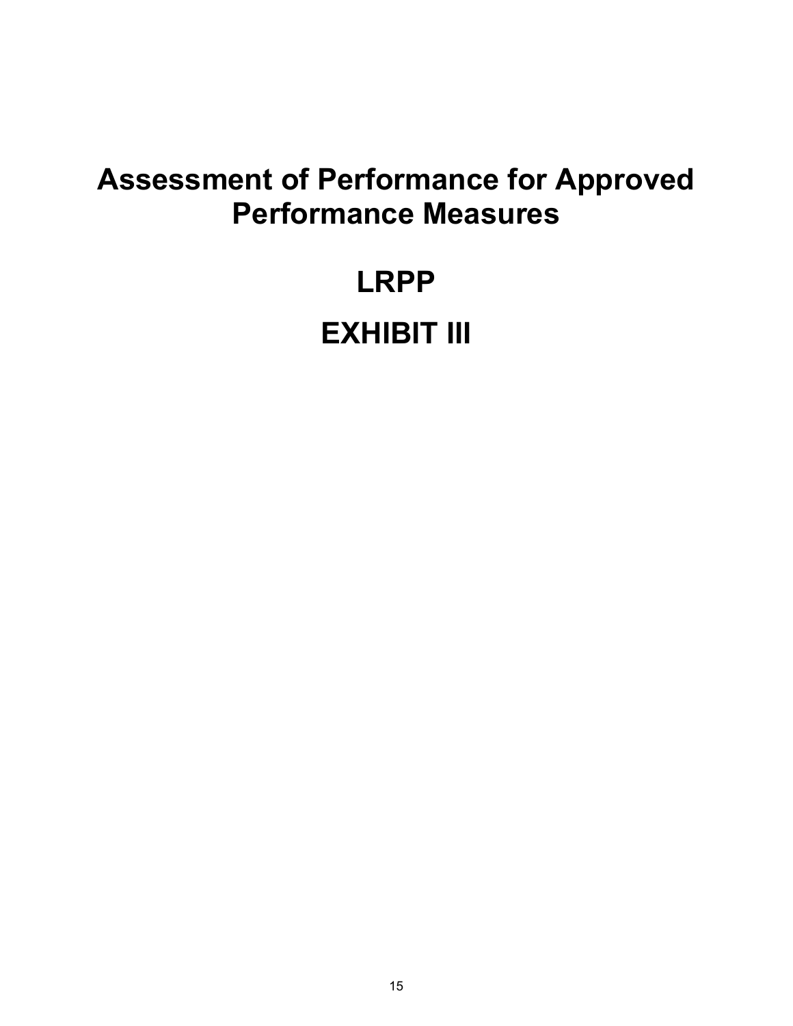### **Assessment of Performance for Approved Performance Measures**

## **LRPP EXHIBIT III**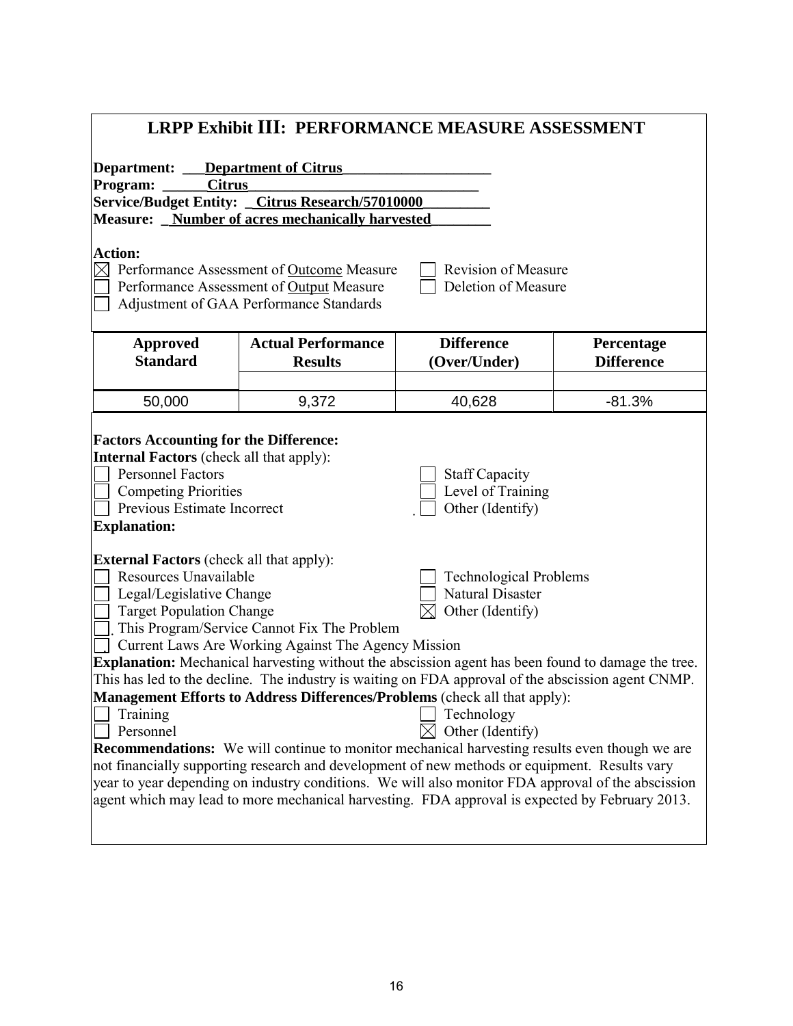| Department of Citrus<br>Department:<br><b>Citrus</b><br>Program:<br>Service/Budget Entity: _Citrus Research/57010000<br>Measure: _ Number of acres mechanically harvested<br><b>Action:</b><br>$\boxtimes$ Performance Assessment of Outcome Measure<br><b>Revision of Measure</b><br>Deletion of Measure<br>Performance Assessment of Output Measure<br>Adjustment of GAA Performance Standards<br><b>Difference</b><br><b>Actual Performance</b><br>Percentage<br><b>Approved</b><br><b>Standard</b><br><b>Results</b><br>(Over/Under)<br><b>Difference</b><br>9,372<br>$-81.3%$<br>50,000<br>40,628<br><b>Factors Accounting for the Difference:</b><br><b>Internal Factors</b> (check all that apply):<br><b>Personnel Factors</b><br><b>Staff Capacity</b><br>Level of Training<br><b>Competing Priorities</b><br>Previous Estimate Incorrect<br>Other (Identify)                                                                                                                                                                                                                                     | <b>LRPP Exhibit III: PERFORMANCE MEASURE ASSESSMENT</b> |  |  |  |  |  |
|------------------------------------------------------------------------------------------------------------------------------------------------------------------------------------------------------------------------------------------------------------------------------------------------------------------------------------------------------------------------------------------------------------------------------------------------------------------------------------------------------------------------------------------------------------------------------------------------------------------------------------------------------------------------------------------------------------------------------------------------------------------------------------------------------------------------------------------------------------------------------------------------------------------------------------------------------------------------------------------------------------------------------------------------------------------------------------------------------------|---------------------------------------------------------|--|--|--|--|--|
|                                                                                                                                                                                                                                                                                                                                                                                                                                                                                                                                                                                                                                                                                                                                                                                                                                                                                                                                                                                                                                                                                                            |                                                         |  |  |  |  |  |
|                                                                                                                                                                                                                                                                                                                                                                                                                                                                                                                                                                                                                                                                                                                                                                                                                                                                                                                                                                                                                                                                                                            |                                                         |  |  |  |  |  |
|                                                                                                                                                                                                                                                                                                                                                                                                                                                                                                                                                                                                                                                                                                                                                                                                                                                                                                                                                                                                                                                                                                            |                                                         |  |  |  |  |  |
|                                                                                                                                                                                                                                                                                                                                                                                                                                                                                                                                                                                                                                                                                                                                                                                                                                                                                                                                                                                                                                                                                                            |                                                         |  |  |  |  |  |
|                                                                                                                                                                                                                                                                                                                                                                                                                                                                                                                                                                                                                                                                                                                                                                                                                                                                                                                                                                                                                                                                                                            |                                                         |  |  |  |  |  |
|                                                                                                                                                                                                                                                                                                                                                                                                                                                                                                                                                                                                                                                                                                                                                                                                                                                                                                                                                                                                                                                                                                            |                                                         |  |  |  |  |  |
|                                                                                                                                                                                                                                                                                                                                                                                                                                                                                                                                                                                                                                                                                                                                                                                                                                                                                                                                                                                                                                                                                                            |                                                         |  |  |  |  |  |
|                                                                                                                                                                                                                                                                                                                                                                                                                                                                                                                                                                                                                                                                                                                                                                                                                                                                                                                                                                                                                                                                                                            |                                                         |  |  |  |  |  |
|                                                                                                                                                                                                                                                                                                                                                                                                                                                                                                                                                                                                                                                                                                                                                                                                                                                                                                                                                                                                                                                                                                            |                                                         |  |  |  |  |  |
|                                                                                                                                                                                                                                                                                                                                                                                                                                                                                                                                                                                                                                                                                                                                                                                                                                                                                                                                                                                                                                                                                                            | <b>Explanation:</b>                                     |  |  |  |  |  |
| <b>External Factors</b> (check all that apply):<br>Resources Unavailable<br><b>Technological Problems</b><br><b>Natural Disaster</b><br>Legal/Legislative Change<br>Other (Identify)<br><b>Target Population Change</b><br>This Program/Service Cannot Fix The Problem<br>Current Laws Are Working Against The Agency Mission<br><b>Explanation:</b> Mechanical harvesting without the abscission agent has been found to damage the tree.<br>This has led to the decline. The industry is waiting on FDA approval of the abscission agent CNMP.<br>Management Efforts to Address Differences/Problems (check all that apply):<br>Technology<br>Training<br>Other (Identify)<br>Personnel<br><b>Recommendations:</b> We will continue to monitor mechanical harvesting results even though we are<br>not financially supporting research and development of new methods or equipment. Results vary<br>year to year depending on industry conditions. We will also monitor FDA approval of the abscission<br>agent which may lead to more mechanical harvesting. FDA approval is expected by February 2013. |                                                         |  |  |  |  |  |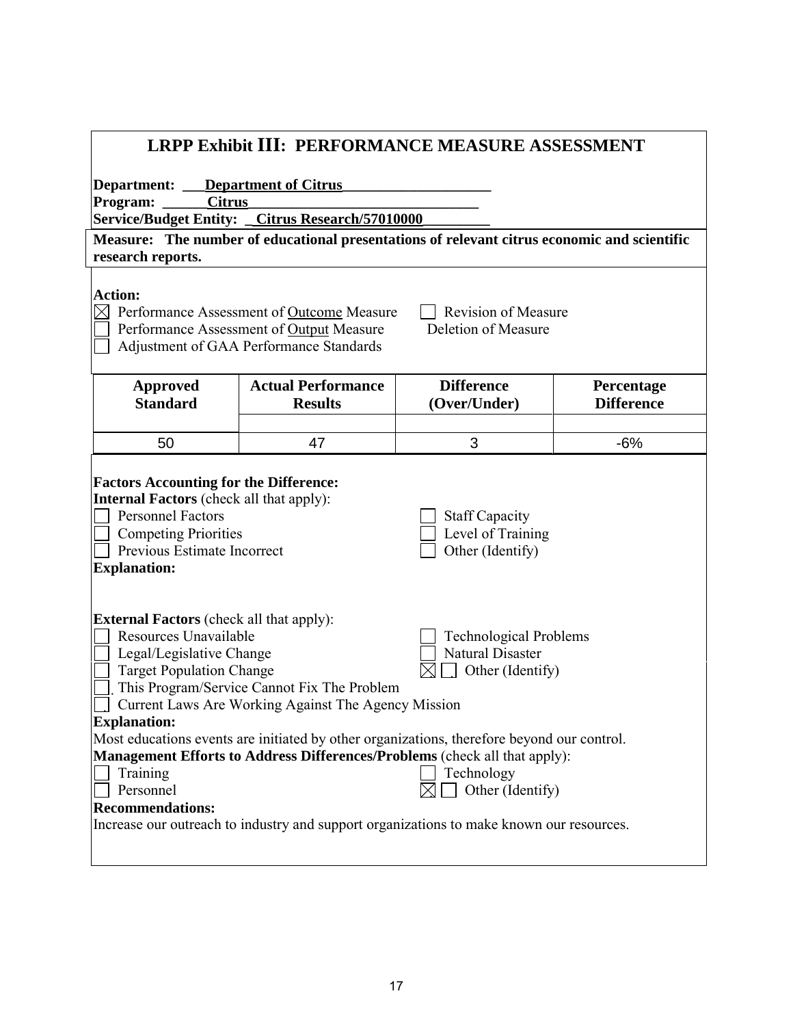| <b>LRPP Exhibit III: PERFORMANCE MEASURE ASSESSMENT</b>                                                                                                                                                                                                                                                                                                                                                                                                                                                                                                                                                                                                                                                            |                                                  |                                                                                             |                                 |  |  |  |
|--------------------------------------------------------------------------------------------------------------------------------------------------------------------------------------------------------------------------------------------------------------------------------------------------------------------------------------------------------------------------------------------------------------------------------------------------------------------------------------------------------------------------------------------------------------------------------------------------------------------------------------------------------------------------------------------------------------------|--------------------------------------------------|---------------------------------------------------------------------------------------------|---------------------------------|--|--|--|
| <b>Department of Citrus</b><br>Department: __                                                                                                                                                                                                                                                                                                                                                                                                                                                                                                                                                                                                                                                                      |                                                  |                                                                                             |                                 |  |  |  |
| <b>Citrus</b><br>Program:                                                                                                                                                                                                                                                                                                                                                                                                                                                                                                                                                                                                                                                                                          |                                                  |                                                                                             |                                 |  |  |  |
|                                                                                                                                                                                                                                                                                                                                                                                                                                                                                                                                                                                                                                                                                                                    | Service/Budget Entity: _Citrus Research/57010000 |                                                                                             |                                 |  |  |  |
| research reports.                                                                                                                                                                                                                                                                                                                                                                                                                                                                                                                                                                                                                                                                                                  |                                                  | Measure: The number of educational presentations of relevant citrus economic and scientific |                                 |  |  |  |
| <b>Action:</b><br>$\boxtimes$<br>Performance Assessment of Outcome Measure<br><b>Revision of Measure</b><br>Deletion of Measure<br>Performance Assessment of Output Measure<br>Adjustment of GAA Performance Standards                                                                                                                                                                                                                                                                                                                                                                                                                                                                                             |                                                  |                                                                                             |                                 |  |  |  |
| <b>Approved</b><br><b>Standard</b>                                                                                                                                                                                                                                                                                                                                                                                                                                                                                                                                                                                                                                                                                 | <b>Actual Performance</b><br><b>Results</b>      | <b>Difference</b><br>(Over/Under)                                                           | Percentage<br><b>Difference</b> |  |  |  |
| 50                                                                                                                                                                                                                                                                                                                                                                                                                                                                                                                                                                                                                                                                                                                 | 47                                               | 3                                                                                           | $-6%$                           |  |  |  |
| <b>Factors Accounting for the Difference:</b><br><b>Internal Factors</b> (check all that apply):<br><b>Personnel Factors</b><br><b>Staff Capacity</b><br>Level of Training<br><b>Competing Priorities</b><br>Previous Estimate Incorrect<br>Other (Identify)<br><b>Explanation:</b>                                                                                                                                                                                                                                                                                                                                                                                                                                |                                                  |                                                                                             |                                 |  |  |  |
| <b>External Factors</b> (check all that apply):<br>Resources Unavailable<br><b>Technological Problems</b><br><b>Natural Disaster</b><br>Legal/Legislative Change<br><b>Target Population Change</b><br>Other (Identify)<br>This Program/Service Cannot Fix The Problem<br>Current Laws Are Working Against The Agency Mission<br><b>Explanation:</b><br>Most educations events are initiated by other organizations, therefore beyond our control.<br>Management Efforts to Address Differences/Problems (check all that apply):<br>Training<br>Technology<br>Personnel<br>Other (Identify)<br><b>Recommendations:</b><br>Increase our outreach to industry and support organizations to make known our resources. |                                                  |                                                                                             |                                 |  |  |  |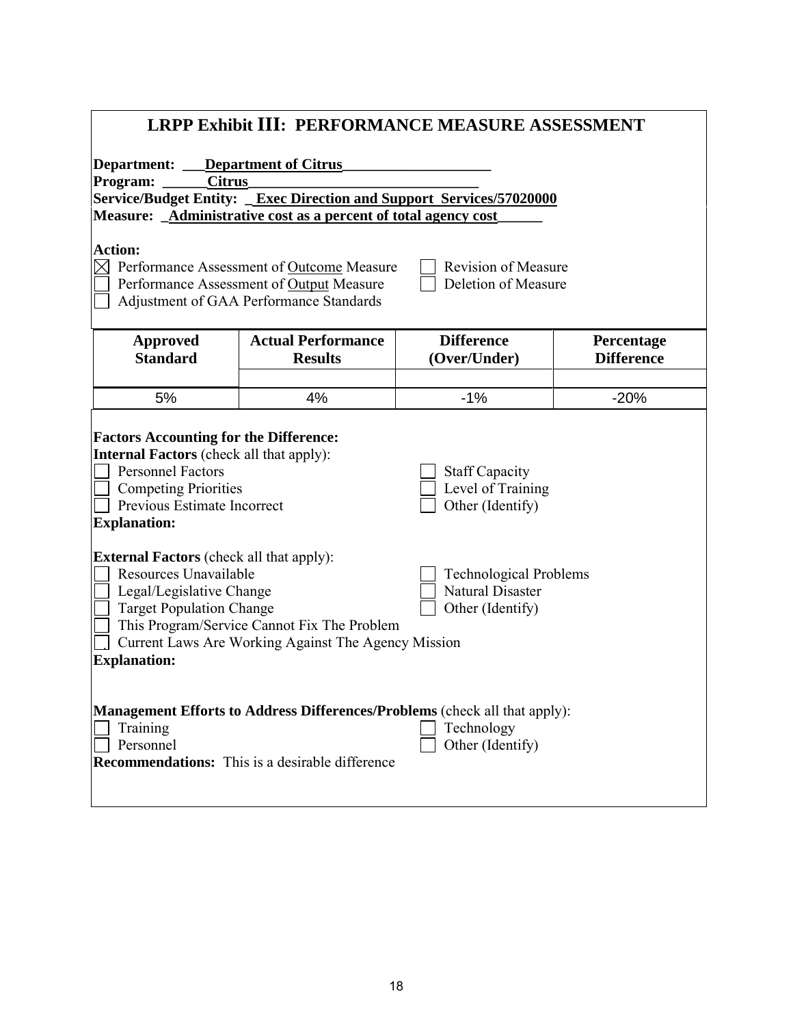| <b>LRPP Exhibit III: PERFORMANCE MEASURE ASSESSMENT</b>                                                                                                                                                                                                                                                                                              |                                                                      |                   |                   |  |  |  |
|------------------------------------------------------------------------------------------------------------------------------------------------------------------------------------------------------------------------------------------------------------------------------------------------------------------------------------------------------|----------------------------------------------------------------------|-------------------|-------------------|--|--|--|
| Department: __                                                                                                                                                                                                                                                                                                                                       | <b>Department of Citrus</b>                                          |                   |                   |  |  |  |
| Program:                                                                                                                                                                                                                                                                                                                                             | <b>Citrus</b>                                                        |                   |                   |  |  |  |
|                                                                                                                                                                                                                                                                                                                                                      | Service/Budget Entity: _Exec Direction and Support Services/57020000 |                   |                   |  |  |  |
|                                                                                                                                                                                                                                                                                                                                                      | Measure: _Administrative cost as a percent of total agency cost      |                   |                   |  |  |  |
| <b>Action:</b><br>$\boxtimes$<br>Performance Assessment of Outcome Measure<br><b>Revision of Measure</b><br>Deletion of Measure<br>Performance Assessment of Output Measure<br>Adjustment of GAA Performance Standards                                                                                                                               |                                                                      |                   |                   |  |  |  |
| <b>Approved</b>                                                                                                                                                                                                                                                                                                                                      | <b>Actual Performance</b>                                            | <b>Difference</b> | Percentage        |  |  |  |
| <b>Standard</b>                                                                                                                                                                                                                                                                                                                                      | <b>Results</b>                                                       | (Over/Under)      | <b>Difference</b> |  |  |  |
|                                                                                                                                                                                                                                                                                                                                                      |                                                                      |                   |                   |  |  |  |
| 5%                                                                                                                                                                                                                                                                                                                                                   | 4%                                                                   | $-1%$             | $-20%$            |  |  |  |
| <b>Factors Accounting for the Difference:</b><br><b>Internal Factors</b> (check all that apply):<br><b>Personnel Factors</b><br><b>Staff Capacity</b><br>Level of Training<br><b>Competing Priorities</b><br>Previous Estimate Incorrect<br>Other (Identify)<br><b>Explanation:</b>                                                                  |                                                                      |                   |                   |  |  |  |
| <b>External Factors</b> (check all that apply):<br>Resources Unavailable<br><b>Technological Problems</b><br><b>Natural Disaster</b><br>Legal/Legislative Change<br><b>Target Population Change</b><br>Other (Identify)<br>This Program/Service Cannot Fix The Problem<br>Current Laws Are Working Against The Agency Mission<br><b>Explanation:</b> |                                                                      |                   |                   |  |  |  |
| Management Efforts to Address Differences/Problems (check all that apply):<br>Technology<br>Training<br>Personnel<br>Other (Identify)<br><b>Recommendations:</b> This is a desirable difference                                                                                                                                                      |                                                                      |                   |                   |  |  |  |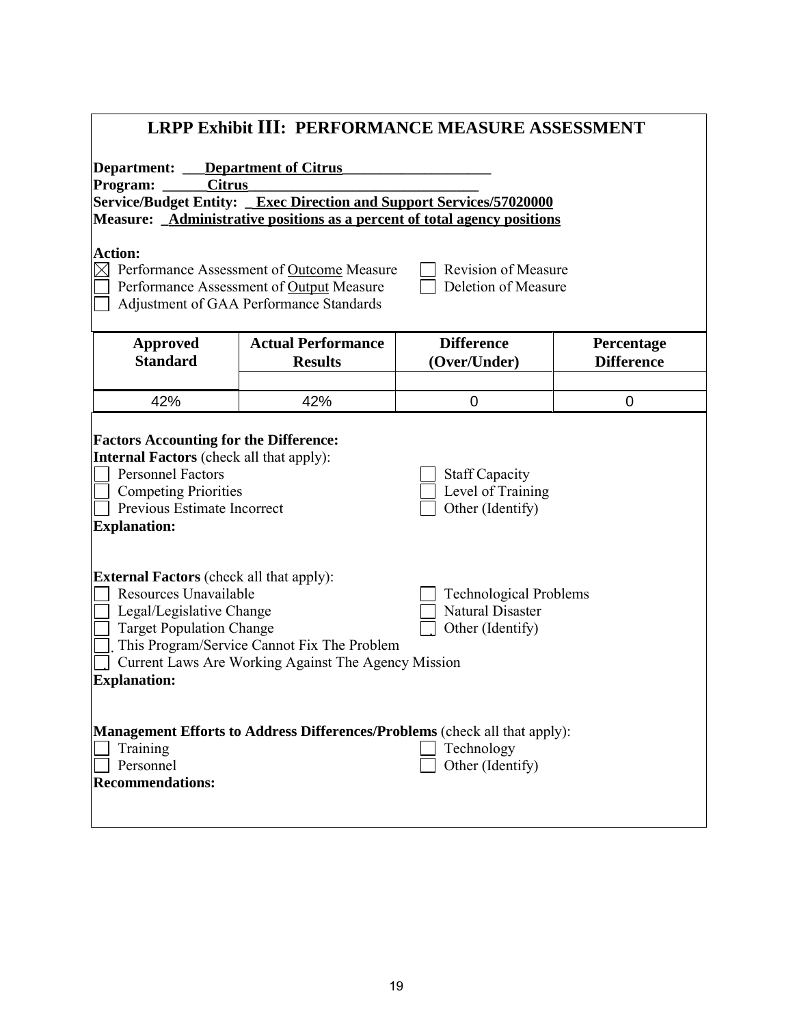| <b>LRPP Exhibit III: PERFORMANCE MEASURE ASSESSMENT</b>                                                                                                                                                                                                                                                                                       |                                                                      |                   |                   |  |  |
|-----------------------------------------------------------------------------------------------------------------------------------------------------------------------------------------------------------------------------------------------------------------------------------------------------------------------------------------------|----------------------------------------------------------------------|-------------------|-------------------|--|--|
| <b>Department:</b> __ <b>Department of Citrus</b>                                                                                                                                                                                                                                                                                             |                                                                      |                   |                   |  |  |
| Program:<br><b>Citrus</b>                                                                                                                                                                                                                                                                                                                     |                                                                      |                   |                   |  |  |
|                                                                                                                                                                                                                                                                                                                                               | Service/Budget Entity: _Exec Direction and Support Services/57020000 |                   |                   |  |  |
|                                                                                                                                                                                                                                                                                                                                               |                                                                      |                   |                   |  |  |
| Measure: _Administrative positions as a percent of total agency positions<br><b>Action:</b><br>$\boxtimes$ Performance Assessment of Outcome Measure<br><b>Revision of Measure</b><br>Deletion of Measure<br>Performance Assessment of Output Measure<br>Adjustment of GAA Performance Standards                                              |                                                                      |                   |                   |  |  |
| <b>Approved</b>                                                                                                                                                                                                                                                                                                                               | <b>Actual Performance</b>                                            | <b>Difference</b> | Percentage        |  |  |
| <b>Standard</b>                                                                                                                                                                                                                                                                                                                               | <b>Results</b>                                                       | (Over/Under)      | <b>Difference</b> |  |  |
| 42%                                                                                                                                                                                                                                                                                                                                           | 42%                                                                  | $\overline{0}$    | $\overline{0}$    |  |  |
|                                                                                                                                                                                                                                                                                                                                               |                                                                      |                   |                   |  |  |
| <b>Factors Accounting for the Difference:</b><br><b>Internal Factors</b> (check all that apply):<br><b>Personnel Factors</b><br><b>Staff Capacity</b><br>Level of Training<br><b>Competing Priorities</b><br>Previous Estimate Incorrect<br>Other (Identify)<br><b>Explanation:</b>                                                           |                                                                      |                   |                   |  |  |
| <b>External Factors</b> (check all that apply):<br>Resources Unavailable<br><b>Technological Problems</b><br>Natural Disaster<br>Legal/Legislative Change<br><b>Target Population Change</b><br>Other (Identify)<br>This Program/Service Cannot Fix The Problem<br>Current Laws Are Working Against The Agency Mission<br><b>Explanation:</b> |                                                                      |                   |                   |  |  |
| Management Efforts to Address Differences/Problems (check all that apply):<br>Training<br>Technology<br>Personnel<br>Other (Identify)<br><b>Recommendations:</b>                                                                                                                                                                              |                                                                      |                   |                   |  |  |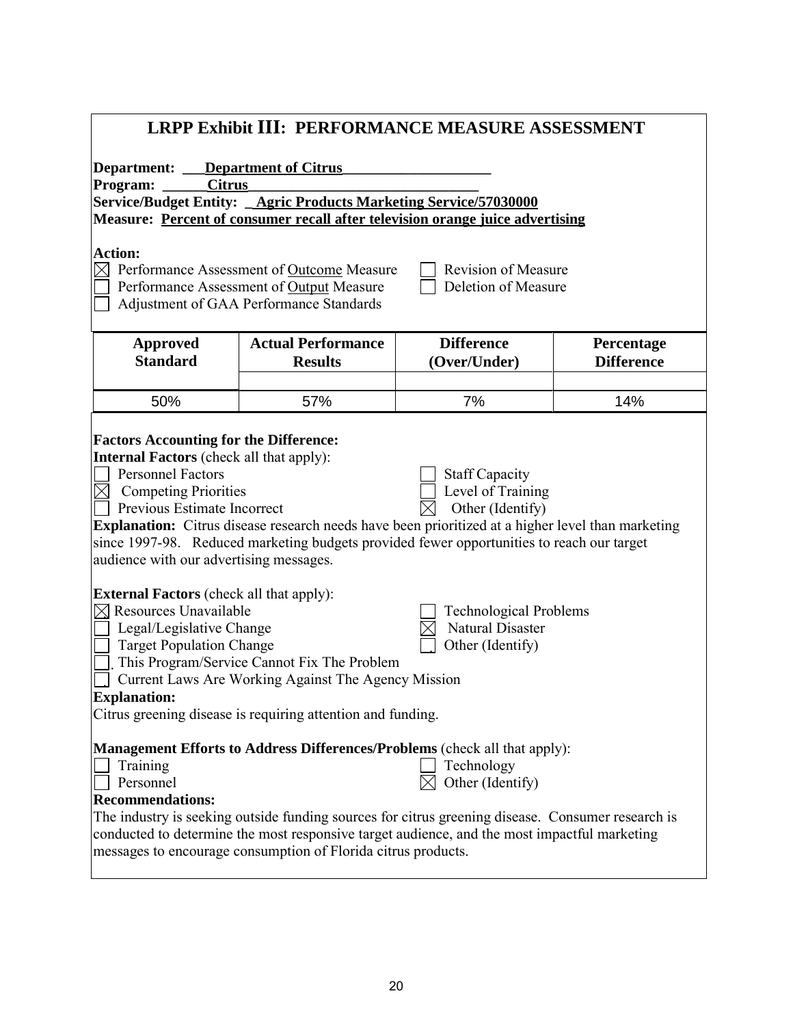| <b>LRPP Exhibit III: PERFORMANCE MEASURE ASSESSMENT</b>                                                                                                                                                                                                                                                                                                                                                                                                                                                                         |                                             |                                   |                                 |  |  |  |
|---------------------------------------------------------------------------------------------------------------------------------------------------------------------------------------------------------------------------------------------------------------------------------------------------------------------------------------------------------------------------------------------------------------------------------------------------------------------------------------------------------------------------------|---------------------------------------------|-----------------------------------|---------------------------------|--|--|--|
| <b>Department of Citrus</b><br>Department:<br>Program:<br><b>Citrus</b><br>Service/Budget Entity: _ Agric Products Marketing Service/57030000<br>Measure: Percent of consumer recall after television orange juice advertising<br><b>Action:</b>                                                                                                                                                                                                                                                                                |                                             |                                   |                                 |  |  |  |
| $\boxtimes$ Performance Assessment of Outcome Measure<br><b>Revision of Measure</b><br>Deletion of Measure<br>Performance Assessment of Output Measure<br>Adjustment of GAA Performance Standards                                                                                                                                                                                                                                                                                                                               |                                             |                                   |                                 |  |  |  |
| <b>Approved</b><br><b>Standard</b>                                                                                                                                                                                                                                                                                                                                                                                                                                                                                              | <b>Actual Performance</b><br><b>Results</b> | <b>Difference</b><br>(Over/Under) | Percentage<br><b>Difference</b> |  |  |  |
| 50%                                                                                                                                                                                                                                                                                                                                                                                                                                                                                                                             | 57%                                         | 7%                                | 14%                             |  |  |  |
| <b>Factors Accounting for the Difference:</b><br><b>Internal Factors</b> (check all that apply):<br><b>Personnel Factors</b><br><b>Staff Capacity</b><br>Level of Training<br><b>Competing Priorities</b><br>$\boxtimes$<br>Other (Identify)<br>Previous Estimate Incorrect<br><b>Explanation:</b> Citrus disease research needs have been prioritized at a higher level than marketing<br>since 1997-98. Reduced marketing budgets provided fewer opportunities to reach our target<br>audience with our advertising messages. |                                             |                                   |                                 |  |  |  |
| <b>External Factors</b> (check all that apply):<br>$\boxtimes$ Resources Unavailable<br><b>Technological Problems</b><br><b>Natural Disaster</b><br>Legal/Legislative Change<br>Other (Identify)<br><b>Target Population Change</b><br>This Program/Service Cannot Fix The Problem<br>Current Laws Are Working Against The Agency Mission<br><b>Explanation:</b><br>Citrus greening disease is requiring attention and funding.                                                                                                 |                                             |                                   |                                 |  |  |  |
| Management Efforts to Address Differences/Problems (check all that apply):<br>Technology<br>Training<br>Personnel<br>Other (Identify)<br><b>Recommendations:</b><br>The industry is seeking outside funding sources for citrus greening disease. Consumer research is<br>conducted to determine the most responsive target audience, and the most impactful marketing<br>messages to encourage consumption of Florida citrus products.                                                                                          |                                             |                                   |                                 |  |  |  |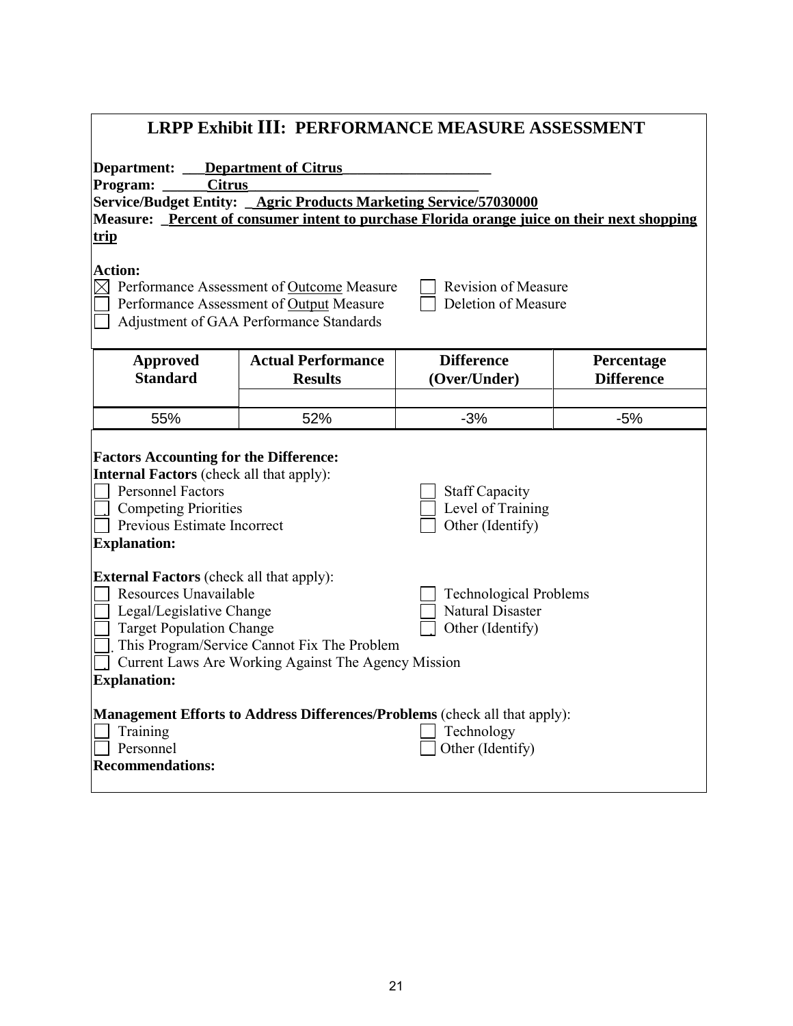| <b>LRPP Exhibit III: PERFORMANCE MEASURE ASSESSMENT</b>                                                                                                                                                                                                                                                                                              |                                                                                             |                                   |                                 |  |  |
|------------------------------------------------------------------------------------------------------------------------------------------------------------------------------------------------------------------------------------------------------------------------------------------------------------------------------------------------------|---------------------------------------------------------------------------------------------|-----------------------------------|---------------------------------|--|--|
| <b>Department of Citrus</b><br>Department:                                                                                                                                                                                                                                                                                                           |                                                                                             |                                   |                                 |  |  |
| <b>Citrus</b><br>Program:                                                                                                                                                                                                                                                                                                                            |                                                                                             |                                   |                                 |  |  |
|                                                                                                                                                                                                                                                                                                                                                      | Service/Budget Entity: _ Agric Products Marketing Service/57030000                          |                                   |                                 |  |  |
|                                                                                                                                                                                                                                                                                                                                                      | Measure: Percent of consumer intent to purchase Florida orange juice on their next shopping |                                   |                                 |  |  |
| trip                                                                                                                                                                                                                                                                                                                                                 |                                                                                             |                                   |                                 |  |  |
| <b>Action:</b><br>$\boxtimes$ Performance Assessment of Outcome Measure<br><b>Revision of Measure</b><br>Deletion of Measure<br>Performance Assessment of Output Measure<br>Adjustment of GAA Performance Standards                                                                                                                                  |                                                                                             |                                   |                                 |  |  |
| <b>Approved</b><br><b>Standard</b>                                                                                                                                                                                                                                                                                                                   | <b>Actual Performance</b><br><b>Results</b>                                                 | <b>Difference</b><br>(Over/Under) | Percentage<br><b>Difference</b> |  |  |
| 55%                                                                                                                                                                                                                                                                                                                                                  | 52%                                                                                         | $-3%$                             | $-5%$                           |  |  |
| <b>Factors Accounting for the Difference:</b><br><b>Internal Factors</b> (check all that apply):<br><b>Personnel Factors</b><br><b>Staff Capacity</b><br>Level of Training<br><b>Competing Priorities</b><br>Other (Identify)<br>Previous Estimate Incorrect<br><b>Explanation:</b>                                                                  |                                                                                             |                                   |                                 |  |  |
| <b>External Factors</b> (check all that apply):<br>Resources Unavailable<br><b>Technological Problems</b><br><b>Natural Disaster</b><br>Legal/Legislative Change<br>Other (Identify)<br><b>Target Population Change</b><br>This Program/Service Cannot Fix The Problem<br>Current Laws Are Working Against The Agency Mission<br><b>Explanation:</b> |                                                                                             |                                   |                                 |  |  |
| <b>Management Efforts to Address Differences/Problems (check all that apply):</b><br>Technology<br>Training<br>Personnel<br>Other (Identify)<br><b>Recommendations:</b>                                                                                                                                                                              |                                                                                             |                                   |                                 |  |  |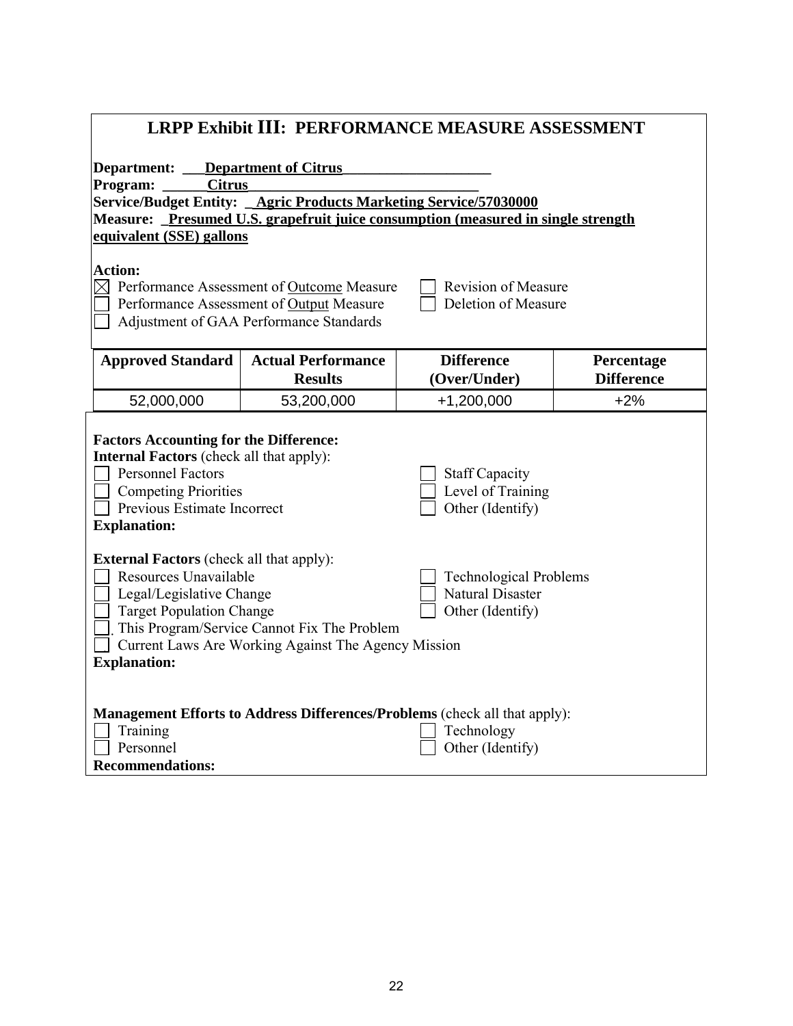| <b>LRPP Exhibit III: PERFORMANCE MEASURE ASSESSMENT</b>                                                                                                                                                                                                                                                                                              |                                                                   |                                                                                   |                   |  |  |  |
|------------------------------------------------------------------------------------------------------------------------------------------------------------------------------------------------------------------------------------------------------------------------------------------------------------------------------------------------------|-------------------------------------------------------------------|-----------------------------------------------------------------------------------|-------------------|--|--|--|
| Department:<br><b>Department of Citrus</b>                                                                                                                                                                                                                                                                                                           |                                                                   |                                                                                   |                   |  |  |  |
| <b>Citrus</b><br>Program:                                                                                                                                                                                                                                                                                                                            |                                                                   |                                                                                   |                   |  |  |  |
|                                                                                                                                                                                                                                                                                                                                                      | Service/Budget Entity: _Agric Products Marketing Service/57030000 |                                                                                   |                   |  |  |  |
|                                                                                                                                                                                                                                                                                                                                                      |                                                                   | Measure: _Presumed U.S. grapefruit juice consumption (measured in single strength |                   |  |  |  |
| equivalent (SSE) gallons                                                                                                                                                                                                                                                                                                                             |                                                                   |                                                                                   |                   |  |  |  |
| <b>Action:</b><br>$\boxtimes$ Performance Assessment of Outcome Measure<br><b>Revision of Measure</b><br>Deletion of Measure<br>Performance Assessment of Output Measure<br>Adjustment of GAA Performance Standards                                                                                                                                  |                                                                   |                                                                                   |                   |  |  |  |
| <b>Approved Standard</b>                                                                                                                                                                                                                                                                                                                             | <b>Actual Performance</b>                                         | <b>Difference</b>                                                                 | Percentage        |  |  |  |
|                                                                                                                                                                                                                                                                                                                                                      | <b>Results</b>                                                    | (Over/Under)                                                                      | <b>Difference</b> |  |  |  |
| 52,000,000                                                                                                                                                                                                                                                                                                                                           | 53,200,000                                                        | $+1,200,000$                                                                      | $+2%$             |  |  |  |
| <b>Factors Accounting for the Difference:</b><br><b>Internal Factors</b> (check all that apply):<br><b>Personnel Factors</b><br><b>Staff Capacity</b><br>Level of Training<br><b>Competing Priorities</b><br>Previous Estimate Incorrect<br>Other (Identify)<br><b>Explanation:</b>                                                                  |                                                                   |                                                                                   |                   |  |  |  |
| <b>External Factors</b> (check all that apply):<br>Resources Unavailable<br><b>Technological Problems</b><br><b>Natural Disaster</b><br>Legal/Legislative Change<br><b>Target Population Change</b><br>Other (Identify)<br>This Program/Service Cannot Fix The Problem<br>Current Laws Are Working Against The Agency Mission<br><b>Explanation:</b> |                                                                   |                                                                                   |                   |  |  |  |
| <b>Management Efforts to Address Differences/Problems (check all that apply):</b><br>Training<br>Technology<br>Personnel<br>Other (Identify)<br><b>Recommendations:</b>                                                                                                                                                                              |                                                                   |                                                                                   |                   |  |  |  |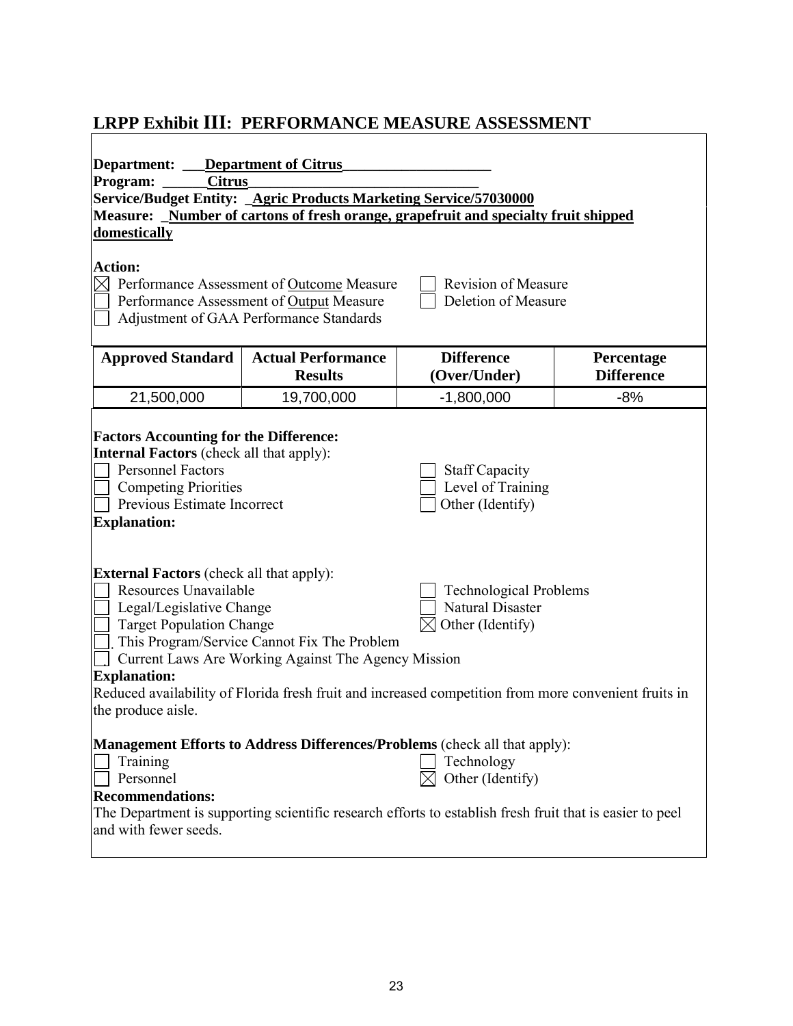### **LRPP Exhibit III: PERFORMANCE MEASURE ASSESSMENT**

| Department of Citrus<br>Department:<br><b>Citrus</b><br>Program:<br>Service/Budget Entity: _ Agric Products Marketing Service/57030000<br>Measure: Number of cartons of fresh orange, grapefruit and specialty fruit shipped<br>domestically<br><b>Action:</b><br>$\boxtimes$ Performance Assessment of Outcome Measure<br><b>Revision of Measure</b><br>Deletion of Measure<br>Performance Assessment of Output Measure<br>Adjustment of GAA Performance Standards                |            |                                                                                                                                                                                                                          |       |  |  |
|------------------------------------------------------------------------------------------------------------------------------------------------------------------------------------------------------------------------------------------------------------------------------------------------------------------------------------------------------------------------------------------------------------------------------------------------------------------------------------|------------|--------------------------------------------------------------------------------------------------------------------------------------------------------------------------------------------------------------------------|-------|--|--|
| <b>Approved Standard</b><br><b>Difference</b><br><b>Actual Performance</b><br>Percentage<br><b>Results</b><br><b>Difference</b><br>(Over/Under)                                                                                                                                                                                                                                                                                                                                    |            |                                                                                                                                                                                                                          |       |  |  |
| 21,500,000                                                                                                                                                                                                                                                                                                                                                                                                                                                                         | 19,700,000 | $-1,800,000$                                                                                                                                                                                                             | $-8%$ |  |  |
| <b>Factors Accounting for the Difference:</b><br><b>Internal Factors</b> (check all that apply):<br><b>Personnel Factors</b><br><b>Staff Capacity</b><br><b>Competing Priorities</b><br>Level of Training<br><b>Previous Estimate Incorrect</b><br>Other (Identify)<br><b>Explanation:</b>                                                                                                                                                                                         |            |                                                                                                                                                                                                                          |       |  |  |
| <b>External Factors</b> (check all that apply):<br>Resources Unavailable<br><b>Technological Problems</b><br><b>Natural Disaster</b><br>Legal/Legislative Change<br>Other (Identify)<br><b>Target Population Change</b><br>This Program/Service Cannot Fix The Problem<br>Current Laws Are Working Against The Agency Mission<br><b>Explanation:</b><br>Reduced availability of Florida fresh fruit and increased competition from more convenient fruits in<br>the produce aisle. |            |                                                                                                                                                                                                                          |       |  |  |
| Training<br>Personnel<br><b>Recommendations:</b><br>and with fewer seeds.                                                                                                                                                                                                                                                                                                                                                                                                          |            | Management Efforts to Address Differences/Problems (check all that apply):<br>Technology<br>Other (Identify)<br>The Department is supporting scientific research efforts to establish fresh fruit that is easier to peel |       |  |  |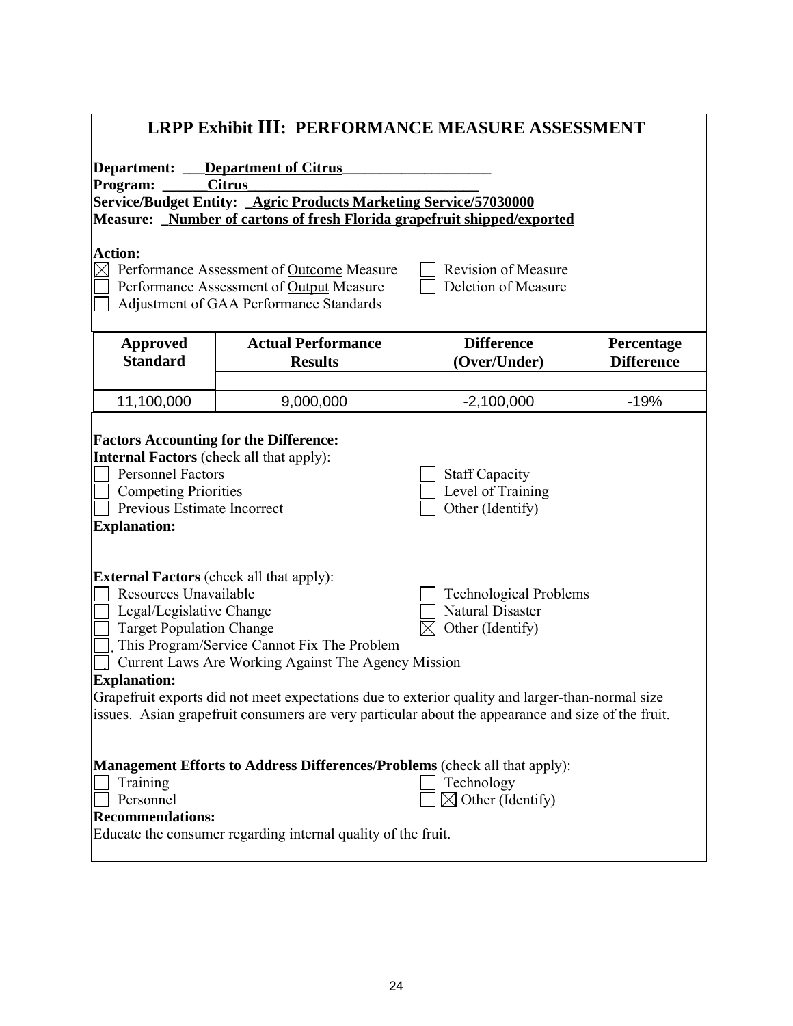| <b>LRPP Exhibit III: PERFORMANCE MEASURE ASSESSMENT</b>                                                                                                                                                                                                                                                                                                                                                                                                                                                                                                        |                                             |                                   |                                 |  |  |  |
|----------------------------------------------------------------------------------------------------------------------------------------------------------------------------------------------------------------------------------------------------------------------------------------------------------------------------------------------------------------------------------------------------------------------------------------------------------------------------------------------------------------------------------------------------------------|---------------------------------------------|-----------------------------------|---------------------------------|--|--|--|
| <b>Department:</b> Department of Citrus<br><b>Citrus</b><br>Program:<br>Service/Budget Entity: _ Agric Products Marketing Service/57030000<br>Measure: Number of cartons of fresh Florida grapefruit shipped/exported                                                                                                                                                                                                                                                                                                                                          |                                             |                                   |                                 |  |  |  |
| <b>Action:</b><br>$\boxtimes$ Performance Assessment of Outcome Measure<br>Revision of Measure<br>Deletion of Measure<br>Performance Assessment of Output Measure<br>Adjustment of GAA Performance Standards                                                                                                                                                                                                                                                                                                                                                   |                                             |                                   |                                 |  |  |  |
| <b>Approved</b><br><b>Standard</b>                                                                                                                                                                                                                                                                                                                                                                                                                                                                                                                             | <b>Actual Performance</b><br><b>Results</b> | <b>Difference</b><br>(Over/Under) | Percentage<br><b>Difference</b> |  |  |  |
| 11,100,000                                                                                                                                                                                                                                                                                                                                                                                                                                                                                                                                                     | 9,000,000                                   | $-2,100,000$                      | $-19%$                          |  |  |  |
| <b>Factors Accounting for the Difference:</b><br><b>Internal Factors</b> (check all that apply):<br><b>Personnel Factors</b><br><b>Staff Capacity</b><br>Level of Training<br><b>Competing Priorities</b><br>Previous Estimate Incorrect<br>Other (Identify)<br><b>Explanation:</b>                                                                                                                                                                                                                                                                            |                                             |                                   |                                 |  |  |  |
| <b>External Factors</b> (check all that apply):<br>Resources Unavailable<br><b>Technological Problems</b><br><b>Natural Disaster</b><br>Legal/Legislative Change<br>Other (Identify)<br><b>Target Population Change</b><br>This Program/Service Cannot Fix The Problem<br>Current Laws Are Working Against The Agency Mission<br><b>Explanation:</b><br>Grapefruit exports did not meet expectations due to exterior quality and larger-than-normal size<br>issues. Asian grapefruit consumers are very particular about the appearance and size of the fruit. |                                             |                                   |                                 |  |  |  |
| <b>Management Efforts to Address Differences/Problems (check all that apply):</b><br>Technology<br>Training<br>$\boxtimes$ Other (Identify)<br>Personnel<br><b>Recommendations:</b><br>Educate the consumer regarding internal quality of the fruit.                                                                                                                                                                                                                                                                                                           |                                             |                                   |                                 |  |  |  |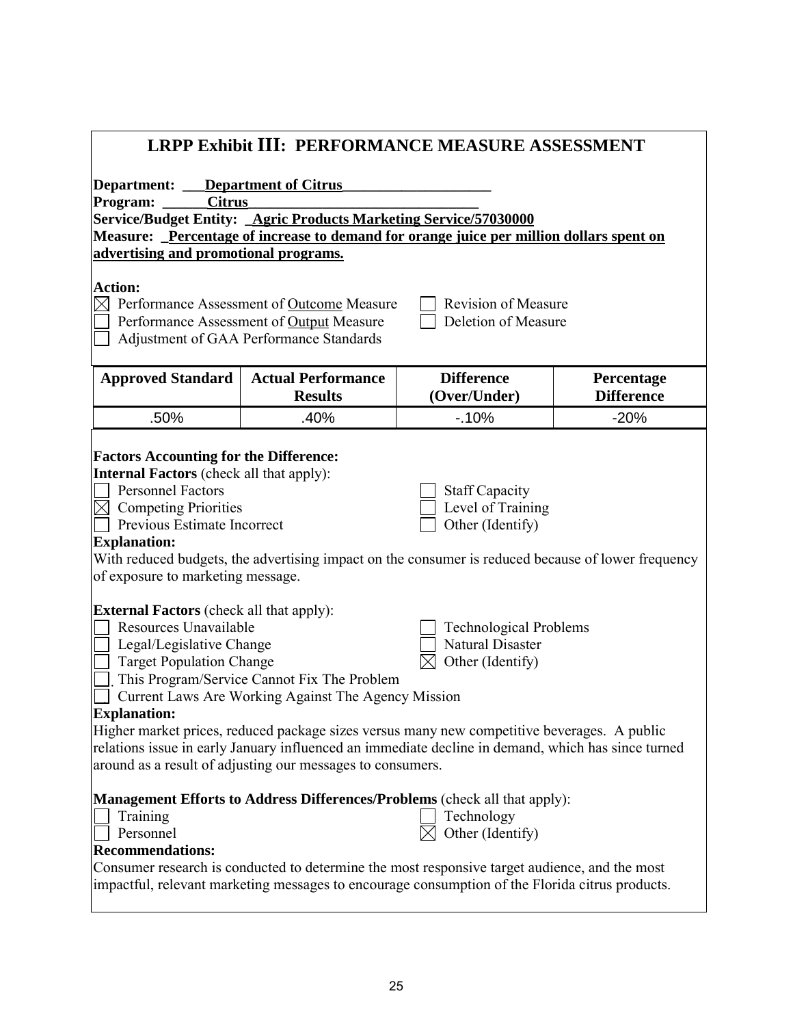| <b>LRPP Exhibit III: PERFORMANCE MEASURE ASSESSMENT</b>                                                                                                                                                                                                                                                                                                                                                                                                                                                                                                                                                                 |                                             |                                   |                                 |  |  |
|-------------------------------------------------------------------------------------------------------------------------------------------------------------------------------------------------------------------------------------------------------------------------------------------------------------------------------------------------------------------------------------------------------------------------------------------------------------------------------------------------------------------------------------------------------------------------------------------------------------------------|---------------------------------------------|-----------------------------------|---------------------------------|--|--|
| Department:<br><b>Department of Citrus</b><br><b>Citrus</b><br>Program:<br>Service/Budget Entity: _Agric Products Marketing Service/57030000<br>Measure: Percentage of increase to demand for orange juice per million dollars spent on<br>advertising and promotional programs.                                                                                                                                                                                                                                                                                                                                        |                                             |                                   |                                 |  |  |
| <b>Action:</b><br>Performance Assessment of Outcome Measure<br><b>Revision of Measure</b><br>$\boxtimes$<br>Performance Assessment of Output Measure<br>Deletion of Measure<br>Adjustment of GAA Performance Standards                                                                                                                                                                                                                                                                                                                                                                                                  |                                             |                                   |                                 |  |  |
| <b>Approved Standard</b>                                                                                                                                                                                                                                                                                                                                                                                                                                                                                                                                                                                                | <b>Actual Performance</b><br><b>Results</b> | <b>Difference</b><br>(Over/Under) | Percentage<br><b>Difference</b> |  |  |
| .50%                                                                                                                                                                                                                                                                                                                                                                                                                                                                                                                                                                                                                    | .40%                                        | $-10%$                            | $-20%$                          |  |  |
| <b>Internal Factors</b> (check all that apply):<br><b>Personnel Factors</b><br><b>Staff Capacity</b><br>Level of Training<br>$\boxtimes$ Competing Priorities<br>Previous Estimate Incorrect<br>Other (Identify)<br><b>Explanation:</b><br>With reduced budgets, the advertising impact on the consumer is reduced because of lower frequency<br>of exposure to marketing message.                                                                                                                                                                                                                                      |                                             |                                   |                                 |  |  |
| <b>External Factors</b> (check all that apply):<br>Resources Unavailable<br><b>Technological Problems</b><br><b>Natural Disaster</b><br>Legal/Legislative Change<br><b>Target Population Change</b><br>Other (Identify)<br>This Program/Service Cannot Fix The Problem<br>Current Laws Are Working Against The Agency Mission<br><b>Explanation:</b><br>Higher market prices, reduced package sizes versus many new competitive beverages. A public<br>relations issue in early January influenced an immediate decline in demand, which has since turned<br>around as a result of adjusting our messages to consumers. |                                             |                                   |                                 |  |  |
| Management Efforts to Address Differences/Problems (check all that apply):<br>Training<br>Technology<br>Other (Identify)<br>Personnel<br><b>Recommendations:</b><br>Consumer research is conducted to determine the most responsive target audience, and the most<br>impactful, relevant marketing messages to encourage consumption of the Florida citrus products.                                                                                                                                                                                                                                                    |                                             |                                   |                                 |  |  |

I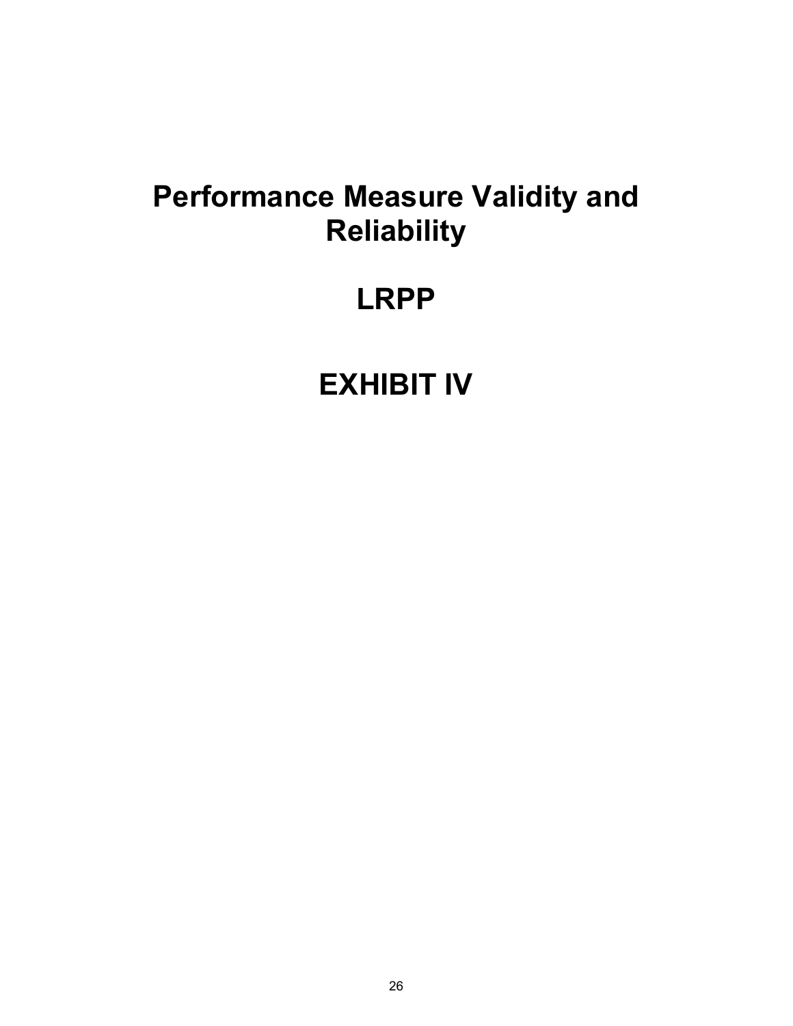### **Performance Measure Validity and Reliability**

### **LRPP**

### **EXHIBIT IV**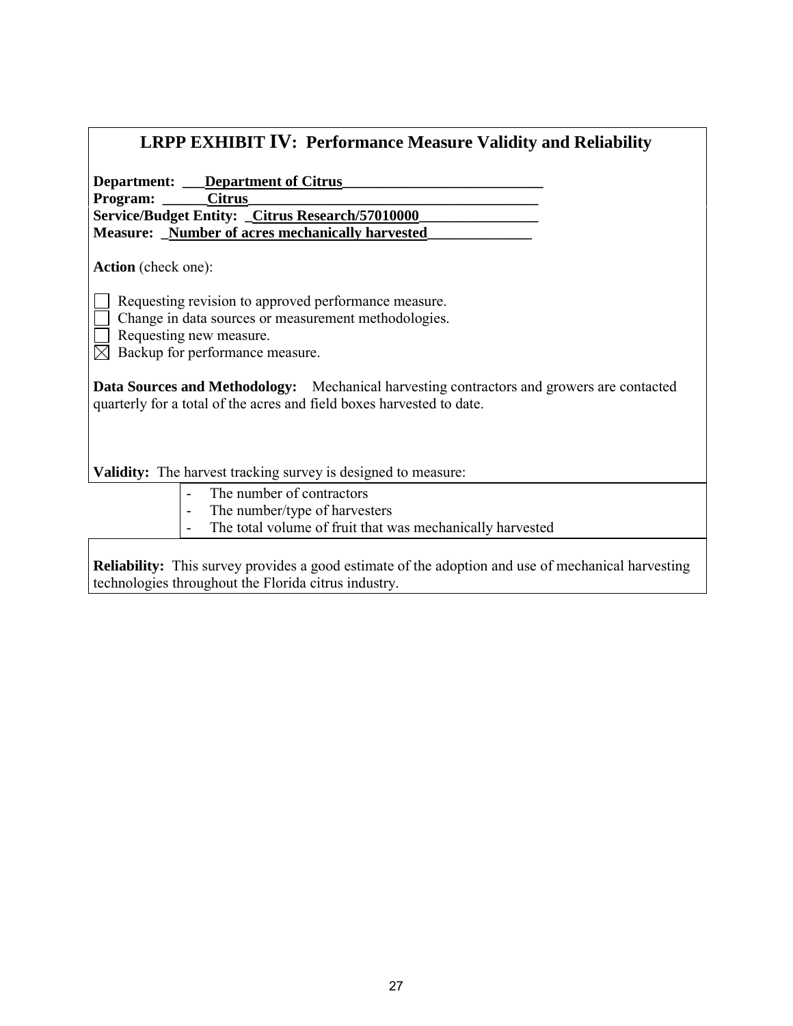| <b>LRPP EXHIBIT IV: Performance Measure Validity and Reliability</b>                                                                                                       |  |  |  |
|----------------------------------------------------------------------------------------------------------------------------------------------------------------------------|--|--|--|
| <b>Department:</b> __ <b>Department of Citrus</b>                                                                                                                          |  |  |  |
| Program: Citrus                                                                                                                                                            |  |  |  |
| Service/Budget Entity: _Citrus Research/57010000_                                                                                                                          |  |  |  |
| <b>Measure:</b> Number of acres mechanically harvested                                                                                                                     |  |  |  |
| <b>Action</b> (check one):                                                                                                                                                 |  |  |  |
| Requesting revision to approved performance measure.<br>Change in data sources or measurement methodologies.<br>Requesting new measure.<br>Backup for performance measure. |  |  |  |
| <b>Data Sources and Methodology:</b> Mechanical harvesting contractors and growers are contacted<br>quarterly for a total of the acres and field boxes harvested to date.  |  |  |  |
| Validity: The harvest tracking survey is designed to measure:                                                                                                              |  |  |  |
| The number of contractors                                                                                                                                                  |  |  |  |
| The number/type of harvesters                                                                                                                                              |  |  |  |
| 701 111 00 111 1 111 111                                                                                                                                                   |  |  |  |

- The total volume of fruit that was mechanically harvested

**Reliability:** This survey provides a good estimate of the adoption and use of mechanical harvesting technologies throughout the Florida citrus industry.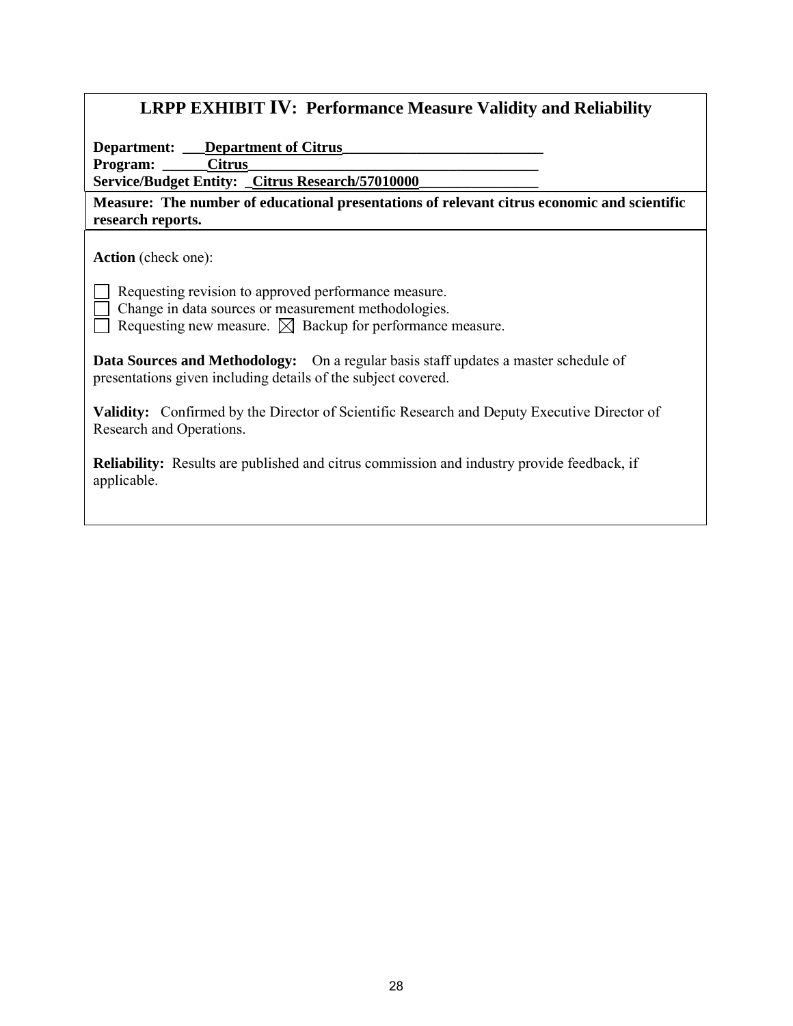| <b>LRPP EXHIBIT IV: Performance Measure Validity and Reliability</b>                                                                                                                |  |  |  |  |
|-------------------------------------------------------------------------------------------------------------------------------------------------------------------------------------|--|--|--|--|
| <b>Department:</b> __ <b>Department of Citrus</b><br><b>Citrus</b><br>Program:<br>Service/Budget Entity: _Citrus Research/57010000                                                  |  |  |  |  |
| Measure: The number of educational presentations of relevant citrus economic and scientific<br>research reports.                                                                    |  |  |  |  |
| <b>Action</b> (check one):                                                                                                                                                          |  |  |  |  |
| Requesting revision to approved performance measure.<br>Change in data sources or measurement methodologies.<br>Requesting new measure. $\boxtimes$ Backup for performance measure. |  |  |  |  |
| <b>Data Sources and Methodology:</b> On a regular basis staff updates a master schedule of<br>presentations given including details of the subject covered.                         |  |  |  |  |
| <b>Validity:</b> Confirmed by the Director of Scientific Research and Deputy Executive Director of<br>Research and Operations.                                                      |  |  |  |  |
| <b>Reliability:</b> Results are published and citrus commission and industry provide feedback, if<br>applicable.                                                                    |  |  |  |  |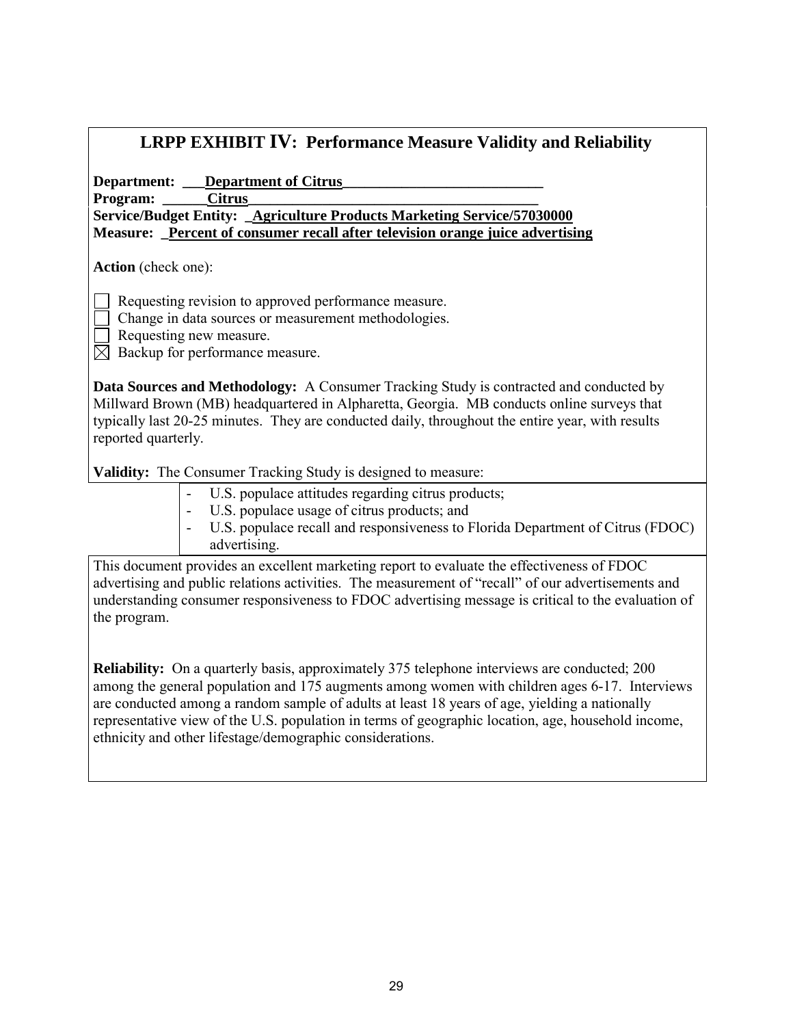#### **LRPP EXHIBIT IV: Performance Measure Validity and Reliability**

Department: \_\_\_Department of Citrus\_ Program: Citrus **Service/Budget Entity: \_Agriculture Products Marketing Service/57030000 Measure: \_Percent of consumer recall after television orange juice advertising**

**Action** (check one):

Requesting revision to approved performance measure.

- Change in data sources or measurement methodologies.
- Requesting new measure.
- $\boxtimes$  Backup for performance measure.

**Data Sources and Methodology:** A Consumer Tracking Study is contracted and conducted by Millward Brown (MB) headquartered in Alpharetta, Georgia. MB conducts online surveys that typically last 20-25 minutes. They are conducted daily, throughout the entire year, with results reported quarterly.

**Validity:** The Consumer Tracking Study is designed to measure:

- U.S. populace attitudes regarding citrus products;
- U.S. populace usage of citrus products; and
- U.S. populace recall and responsiveness to Florida Department of Citrus (FDOC) advertising.

This document provides an excellent marketing report to evaluate the effectiveness of FDOC advertising and public relations activities. The measurement of "recall" of our advertisements and understanding consumer responsiveness to FDOC advertising message is critical to the evaluation of the program.

**Reliability:** On a quarterly basis, approximately 375 telephone interviews are conducted; 200 among the general population and 175 augments among women with children ages 6-17. Interviews are conducted among a random sample of adults at least 18 years of age, yielding a nationally representative view of the U.S. population in terms of geographic location, age, household income, ethnicity and other lifestage/demographic considerations.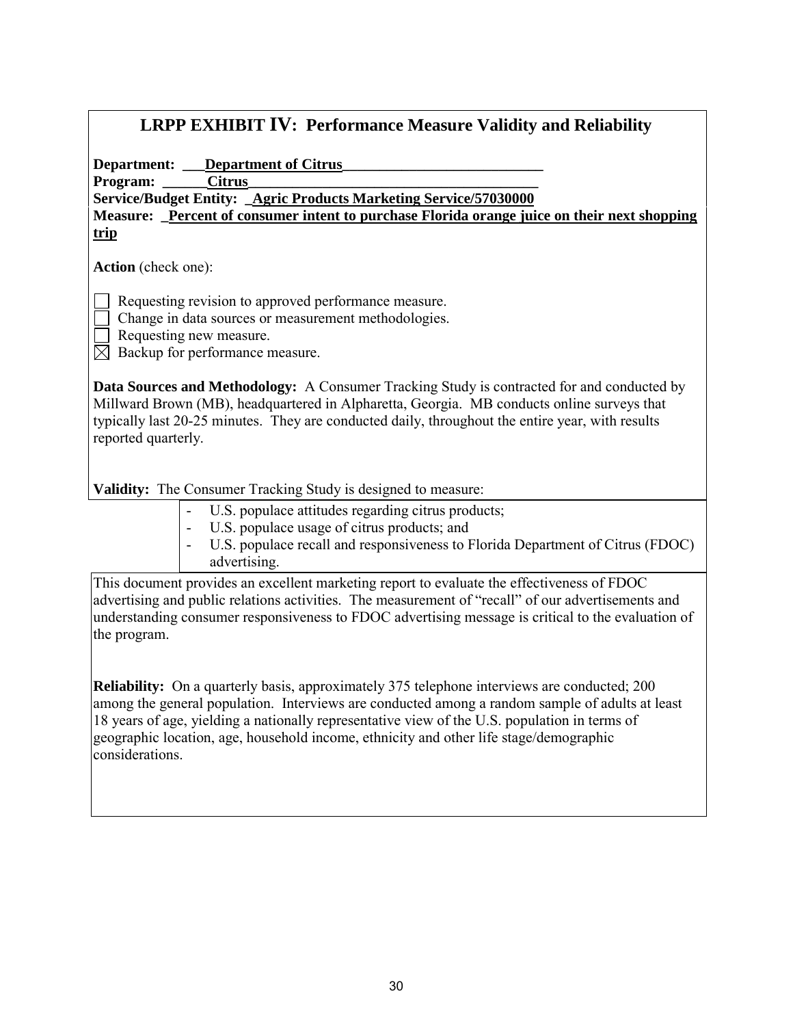| <b>LRPP EXHIBIT IV: Performance Measure Validity and Reliability</b>                                                                                                                                                                                                                                                                                                                                                 |  |  |  |  |  |
|----------------------------------------------------------------------------------------------------------------------------------------------------------------------------------------------------------------------------------------------------------------------------------------------------------------------------------------------------------------------------------------------------------------------|--|--|--|--|--|
| <b>Department:</b> Department of Citrus                                                                                                                                                                                                                                                                                                                                                                              |  |  |  |  |  |
| <b>Citrus</b><br>Program:                                                                                                                                                                                                                                                                                                                                                                                            |  |  |  |  |  |
| Service/Budget Entity: Agric Products Marketing Service/57030000                                                                                                                                                                                                                                                                                                                                                     |  |  |  |  |  |
| Measure: Percent of consumer intent to purchase Florida orange juice on their next shopping                                                                                                                                                                                                                                                                                                                          |  |  |  |  |  |
| trip                                                                                                                                                                                                                                                                                                                                                                                                                 |  |  |  |  |  |
| <b>Action</b> (check one):                                                                                                                                                                                                                                                                                                                                                                                           |  |  |  |  |  |
| Requesting revision to approved performance measure.<br>Change in data sources or measurement methodologies.<br>Requesting new measure.                                                                                                                                                                                                                                                                              |  |  |  |  |  |
| Backup for performance measure.<br>$\bowtie$                                                                                                                                                                                                                                                                                                                                                                         |  |  |  |  |  |
| <b>Data Sources and Methodology:</b> A Consumer Tracking Study is contracted for and conducted by<br>Millward Brown (MB), headquartered in Alpharetta, Georgia. MB conducts online surveys that<br>typically last 20-25 minutes. They are conducted daily, throughout the entire year, with results<br>reported quarterly.<br><b>Validity:</b> The Consumer Tracking Study is designed to measure:                   |  |  |  |  |  |
|                                                                                                                                                                                                                                                                                                                                                                                                                      |  |  |  |  |  |
| U.S. populace attitudes regarding citrus products;<br>U.S. populace usage of citrus products; and                                                                                                                                                                                                                                                                                                                    |  |  |  |  |  |
| U.S. populace recall and responsiveness to Florida Department of Citrus (FDOC)<br>advertising.                                                                                                                                                                                                                                                                                                                       |  |  |  |  |  |
| This document provides an excellent marketing report to evaluate the effectiveness of FDOC<br>advertising and public relations activities. The measurement of "recall" of our advertisements and<br>understanding consumer responsiveness to FDOC advertising message is critical to the evaluation of<br>the program.                                                                                               |  |  |  |  |  |
| <b>Reliability:</b> On a quarterly basis, approximately 375 telephone interviews are conducted; 200<br>among the general population. Interviews are conducted among a random sample of adults at least<br>18 years of age, yielding a nationally representative view of the U.S. population in terms of<br>geographic location, age, household income, ethnicity and other life stage/demographic<br>considerations. |  |  |  |  |  |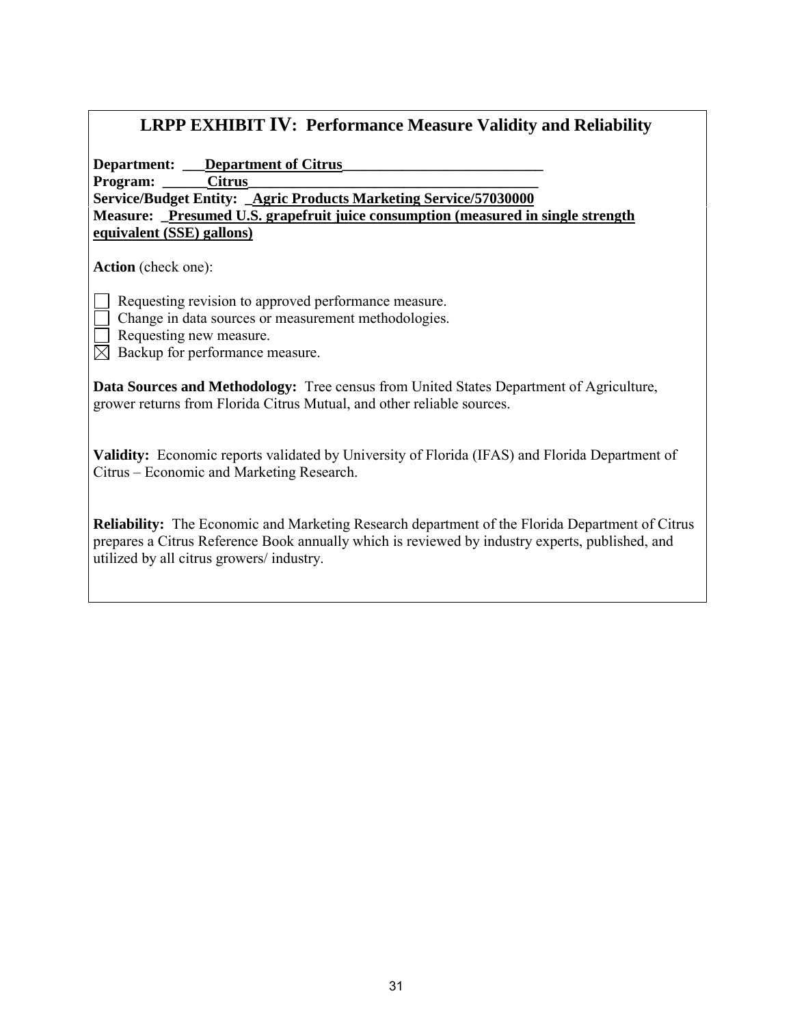#### **LRPP EXHIBIT IV: Performance Measure Validity and Reliability**

Department: **\_\_\_Department of Citrus** 

Program: Citrus

**Service/Budget Entity: \_Agric Products Marketing Service/57030000 Measure: \_Presumed U.S. grapefruit juice consumption (measured in single strength equivalent (SSE) gallons)**

**Action** (check one):

Requesting revision to approved performance measure.

- Change in data sources or measurement methodologies.
- Requesting new measure.
- $\boxtimes$  Backup for performance measure.

**Data Sources and Methodology:** Tree census from United States Department of Agriculture, grower returns from Florida Citrus Mutual, and other reliable sources.

**Validity:** Economic reports validated by University of Florida (IFAS) and Florida Department of Citrus – Economic and Marketing Research.

**Reliability:** The Economic and Marketing Research department of the Florida Department of Citrus prepares a Citrus Reference Book annually which is reviewed by industry experts, published, and utilized by all citrus growers/ industry.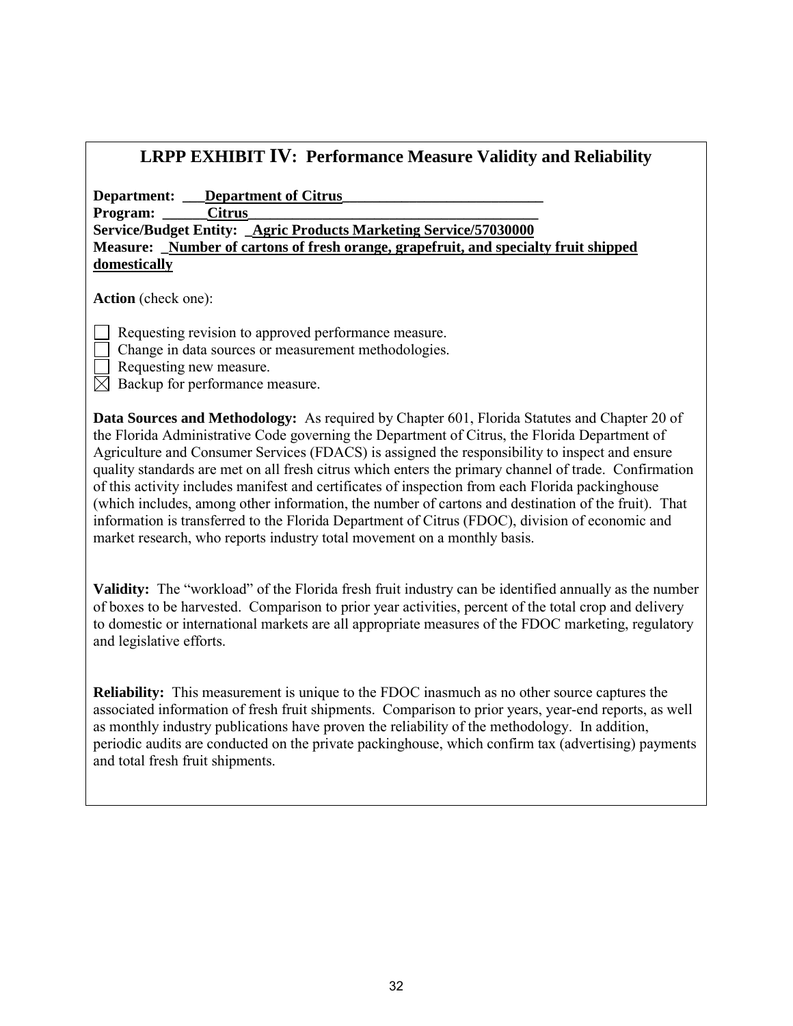| <b>LRPP EXHIBIT IV: Performance Measure Validity and Reliability</b>                                                                                                                                                                                                                                                                                                                                                                                                                                                                                                                                                                                                                                                                                                                               |  |  |  |
|----------------------------------------------------------------------------------------------------------------------------------------------------------------------------------------------------------------------------------------------------------------------------------------------------------------------------------------------------------------------------------------------------------------------------------------------------------------------------------------------------------------------------------------------------------------------------------------------------------------------------------------------------------------------------------------------------------------------------------------------------------------------------------------------------|--|--|--|
| <b>Department:</b> Department of Citrus<br><b>Citrus</b><br>Program:<br>Service/Budget Entity: _ Agric Products Marketing Service/57030000<br>Measure: Number of cartons of fresh orange, grapefruit, and specialty fruit shipped<br>domestically                                                                                                                                                                                                                                                                                                                                                                                                                                                                                                                                                  |  |  |  |
| <b>Action</b> (check one):                                                                                                                                                                                                                                                                                                                                                                                                                                                                                                                                                                                                                                                                                                                                                                         |  |  |  |
| Requesting revision to approved performance measure.<br>Change in data sources or measurement methodologies.<br>Requesting new measure.<br>Backup for performance measure.<br>$\bowtie$                                                                                                                                                                                                                                                                                                                                                                                                                                                                                                                                                                                                            |  |  |  |
| Data Sources and Methodology: As required by Chapter 601, Florida Statutes and Chapter 20 of<br>the Florida Administrative Code governing the Department of Citrus, the Florida Department of<br>Agriculture and Consumer Services (FDACS) is assigned the responsibility to inspect and ensure<br>quality standards are met on all fresh citrus which enters the primary channel of trade. Confirmation<br>of this activity includes manifest and certificates of inspection from each Florida packinghouse<br>(which includes, among other information, the number of cartons and destination of the fruit). That<br>information is transferred to the Florida Department of Citrus (FDOC), division of economic and<br>market research, who reports industry total movement on a monthly basis. |  |  |  |
| Validity: The "workload" of the Florida fresh fruit industry can be identified annually as the number<br>of boxes to be harvested. Comparison to prior year activities, percent of the total crop and delivery<br>to domestic or international markets are all appropriate measures of the FDOC marketing, regulatory<br>and legislative efforts.                                                                                                                                                                                                                                                                                                                                                                                                                                                  |  |  |  |
| <b>Reliability:</b> This measurement is unique to the FDOC inasmuch as no other source captures the<br>associated information of fresh fruit shipments. Comparison to prior years, year-end reports, as well<br>as monthly industry publications have proven the reliability of the methodology. In addition,<br>periodic audits are conducted on the private packinghouse, which confirm tax (advertising) payments                                                                                                                                                                                                                                                                                                                                                                               |  |  |  |

and total fresh fruit shipments.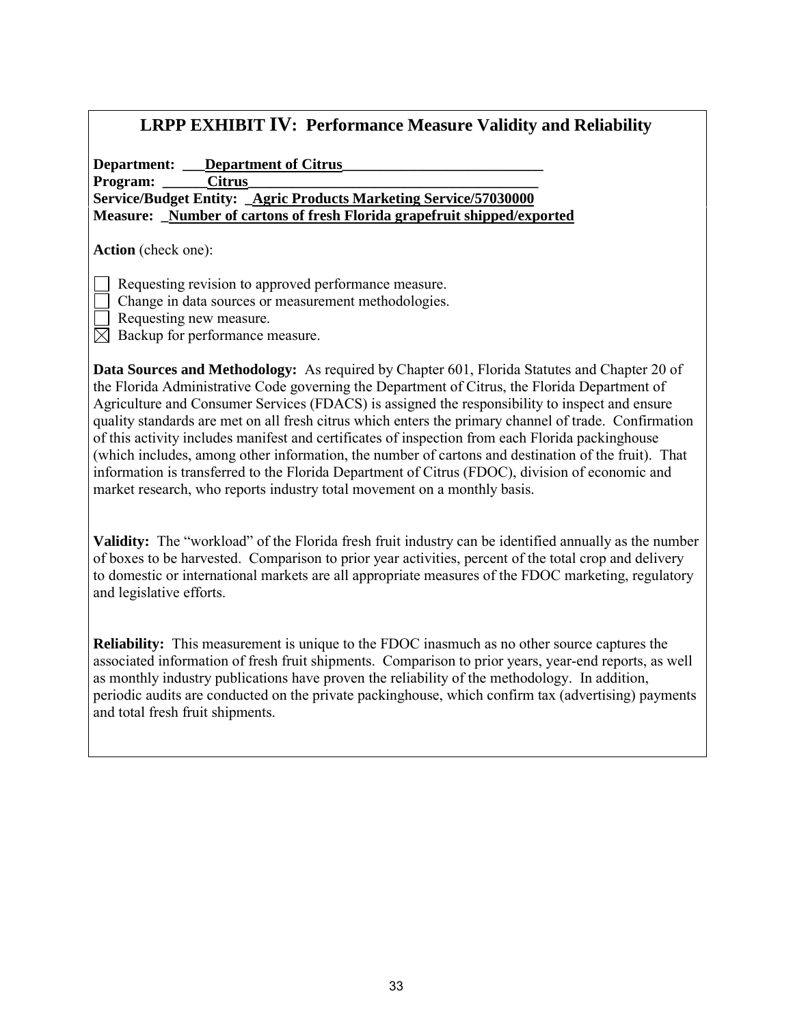#### **LRPP EXHIBIT IV: Performance Measure Validity and Reliability**

Department: **\_\_\_Department of Citrus** Program: Citrus **Service/Budget Entity: \_Agric Products Marketing Service/57030000 Measure: \_Number of cartons of fresh Florida grapefruit shipped/exported**

**Action** (check one):

Requesting revision to approved performance measure.

- Change in data sources or measurement methodologies.
- Requesting new measure.

 $\boxtimes$  Backup for performance measure.

**Data Sources and Methodology:** As required by Chapter 601, Florida Statutes and Chapter 20 of the Florida Administrative Code governing the Department of Citrus, the Florida Department of Agriculture and Consumer Services (FDACS) is assigned the responsibility to inspect and ensure quality standards are met on all fresh citrus which enters the primary channel of trade. Confirmation of this activity includes manifest and certificates of inspection from each Florida packinghouse (which includes, among other information, the number of cartons and destination of the fruit). That information is transferred to the Florida Department of Citrus (FDOC), division of economic and market research, who reports industry total movement on a monthly basis.

**Validity:** The "workload" of the Florida fresh fruit industry can be identified annually as the number of boxes to be harvested. Comparison to prior year activities, percent of the total crop and delivery to domestic or international markets are all appropriate measures of the FDOC marketing, regulatory and legislative efforts.

**Reliability:** This measurement is unique to the FDOC inasmuch as no other source captures the associated information of fresh fruit shipments. Comparison to prior years, year-end reports, as well as monthly industry publications have proven the reliability of the methodology. In addition, periodic audits are conducted on the private packinghouse, which confirm tax (advertising) payments and total fresh fruit shipments.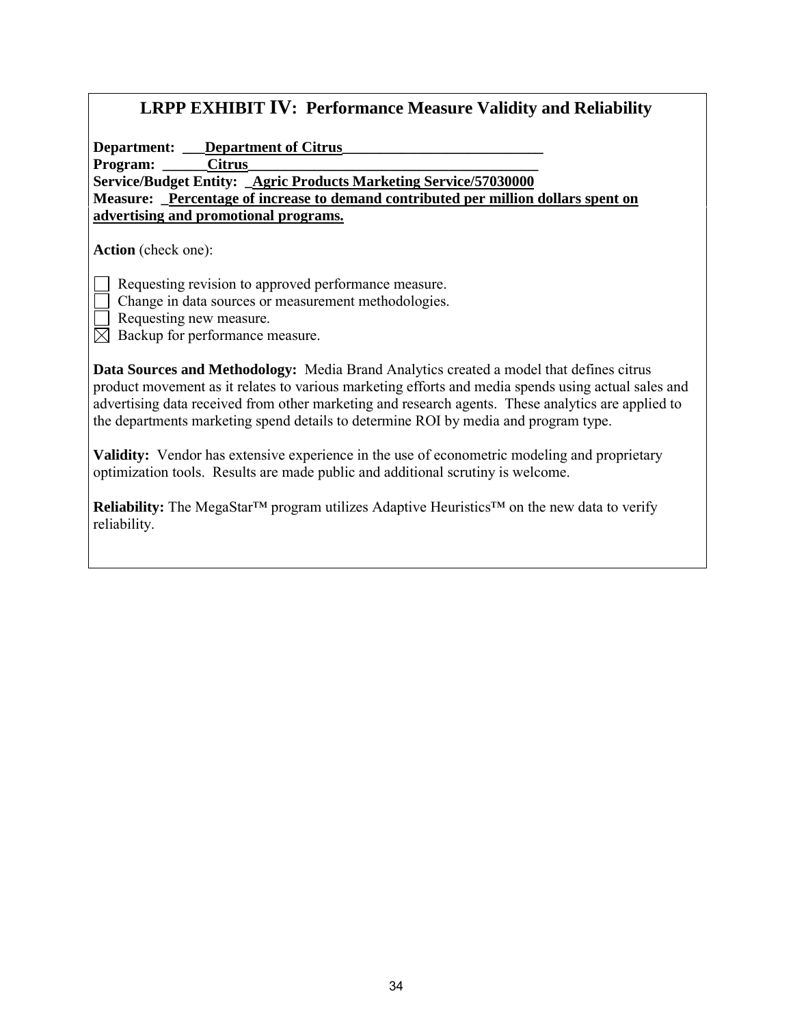| <b>LRPP EXHIBIT IV: Performance Measure Validity and Reliability</b> |  |  |  |  |  |  |  |
|----------------------------------------------------------------------|--|--|--|--|--|--|--|
|----------------------------------------------------------------------|--|--|--|--|--|--|--|

Department: **\_\_\_Department of Citrus** 

Program: **Citrus** 

**Service/Budget Entity: \_Agric Products Marketing Service/57030000 Measure: \_Percentage of increase to demand contributed per million dollars spent on advertising and promotional programs.**

**Action** (check one):

Requesting revision to approved performance measure.

- Change in data sources or measurement methodologies.
- Requesting new measure.

 $\boxtimes$  Backup for performance measure.

**Data Sources and Methodology:** Media Brand Analytics created a model that defines citrus product movement as it relates to various marketing efforts and media spends using actual sales and advertising data received from other marketing and research agents. These analytics are applied to the departments marketing spend details to determine ROI by media and program type.

**Validity:** Vendor has extensive experience in the use of econometric modeling and proprietary optimization tools. Results are made public and additional scrutiny is welcome.

**Reliability:** The MegaStar™ program utilizes Adaptive Heuristics™ on the new data to verify reliability.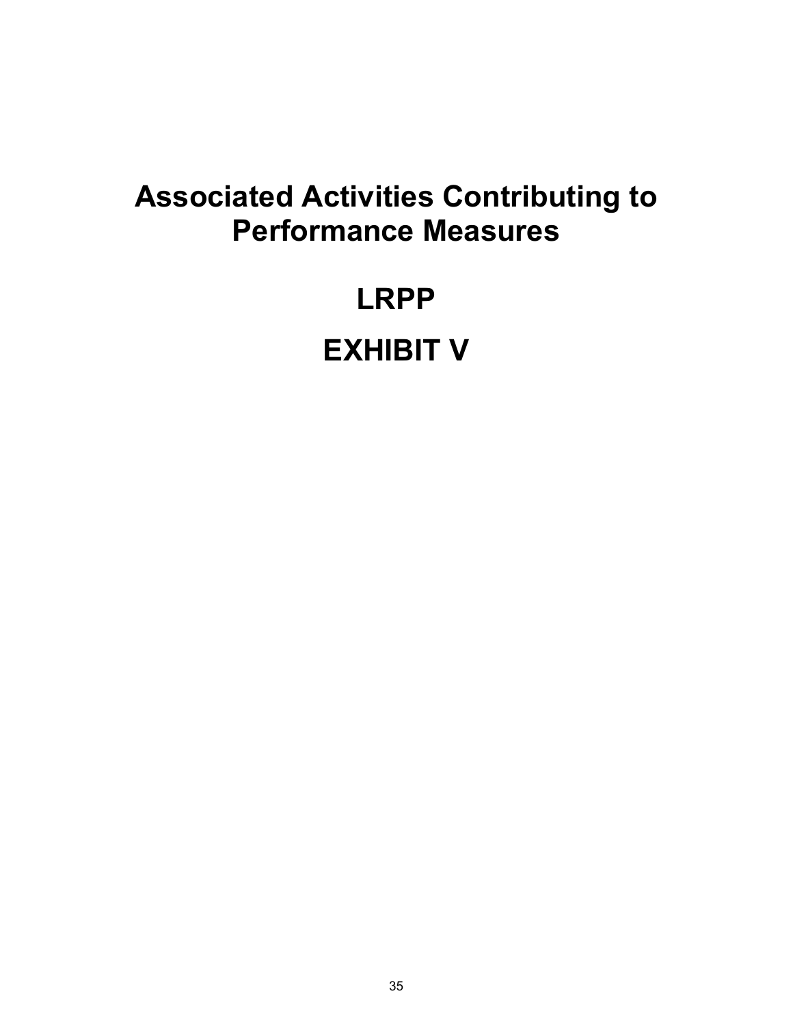### **Associated Activities Contributing to Performance Measures**

## **LRPP EXHIBIT V**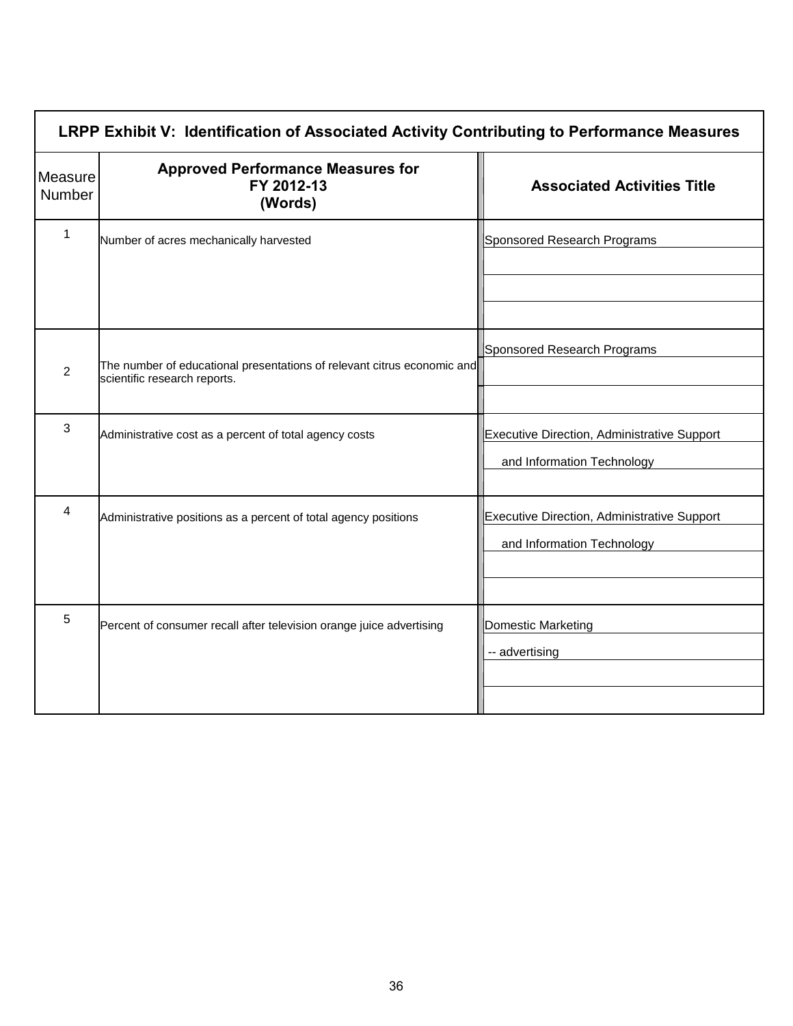| LRPP Exhibit V: Identification of Associated Activity Contributing to Performance Measures |                                                                                                         |                                                                           |  |  |  |
|--------------------------------------------------------------------------------------------|---------------------------------------------------------------------------------------------------------|---------------------------------------------------------------------------|--|--|--|
| Measure<br>Number                                                                          | <b>Approved Performance Measures for</b><br>FY 2012-13<br>(Words)                                       | <b>Associated Activities Title</b>                                        |  |  |  |
| 1                                                                                          | Number of acres mechanically harvested                                                                  | Sponsored Research Programs                                               |  |  |  |
| $\overline{2}$                                                                             | The number of educational presentations of relevant citrus economic and<br>scientific research reports. | Sponsored Research Programs                                               |  |  |  |
| 3                                                                                          | Administrative cost as a percent of total agency costs                                                  | Executive Direction, Administrative Support<br>and Information Technology |  |  |  |
| 4                                                                                          | Administrative positions as a percent of total agency positions                                         | Executive Direction, Administrative Support<br>and Information Technology |  |  |  |
| 5                                                                                          | Percent of consumer recall after television orange juice advertising                                    | <b>Domestic Marketing</b><br>-- advertising                               |  |  |  |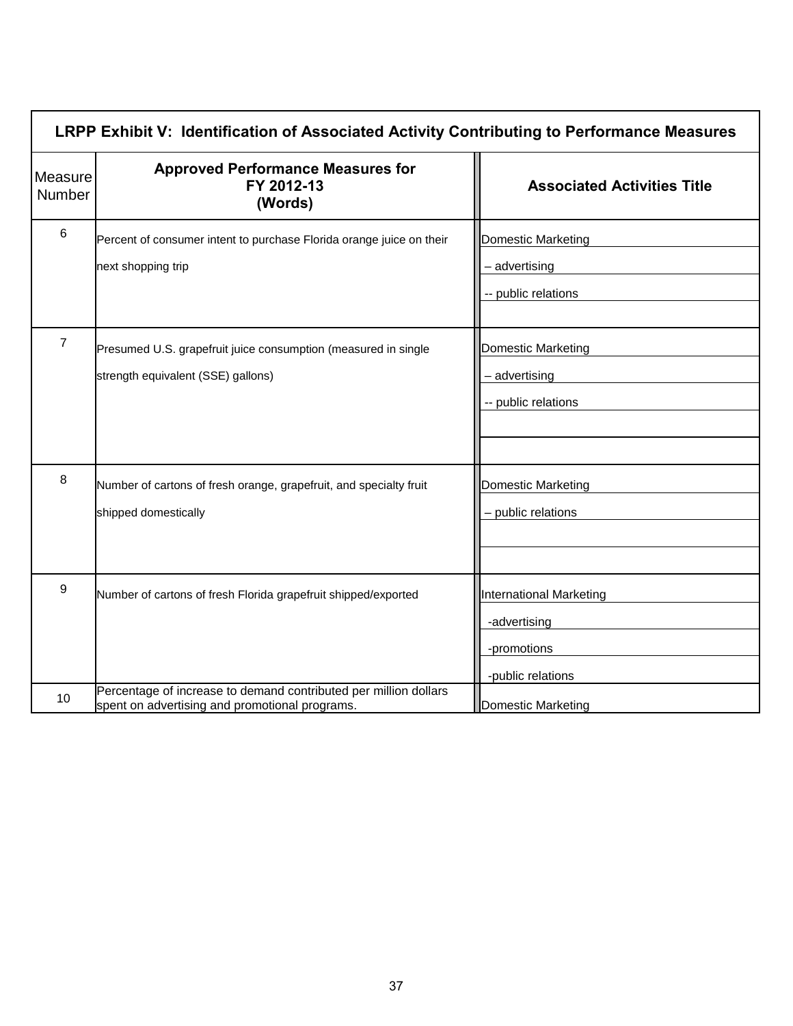| LRPP Exhibit V: Identification of Associated Activity Contributing to Performance Measures |                                                                                                                    |                                                                                    |  |  |  |  |
|--------------------------------------------------------------------------------------------|--------------------------------------------------------------------------------------------------------------------|------------------------------------------------------------------------------------|--|--|--|--|
| Measure<br><b>Number</b>                                                                   | <b>Approved Performance Measures for</b><br>FY 2012-13<br>(Words)                                                  | <b>Associated Activities Title</b>                                                 |  |  |  |  |
| $\,6$                                                                                      | Percent of consumer intent to purchase Florida orange juice on their<br>next shopping trip                         | Domestic Marketing<br>- advertising<br>-- public relations                         |  |  |  |  |
| $\overline{7}$                                                                             | Presumed U.S. grapefruit juice consumption (measured in single<br>strength equivalent (SSE) gallons)               | Domestic Marketing<br>- advertising<br>-- public relations                         |  |  |  |  |
| 8                                                                                          | Number of cartons of fresh orange, grapefruit, and specialty fruit<br>shipped domestically                         | Domestic Marketing<br>- public relations                                           |  |  |  |  |
| 9                                                                                          | Number of cartons of fresh Florida grapefruit shipped/exported                                                     | <b>International Marketing</b><br>-advertising<br>-promotions<br>-public relations |  |  |  |  |
| 10                                                                                         | Percentage of increase to demand contributed per million dollars<br>spent on advertising and promotional programs. | <b>Domestic Marketing</b>                                                          |  |  |  |  |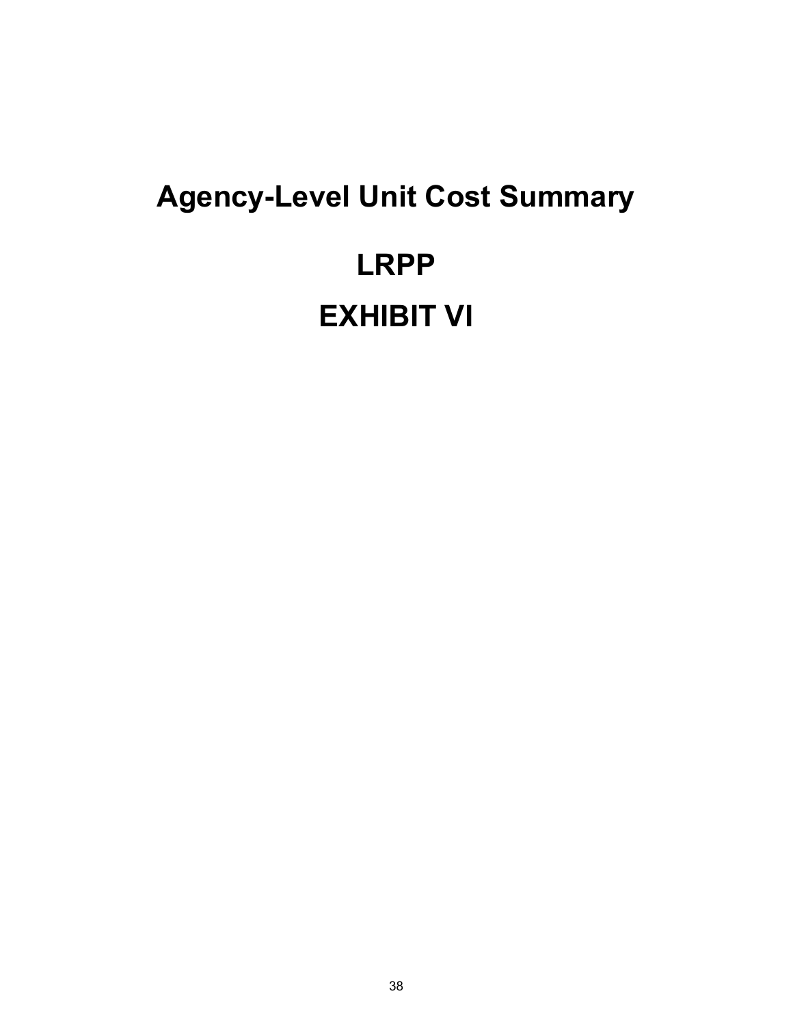# **Agency-Level Unit Cost Summary LRPP EXHIBIT VI**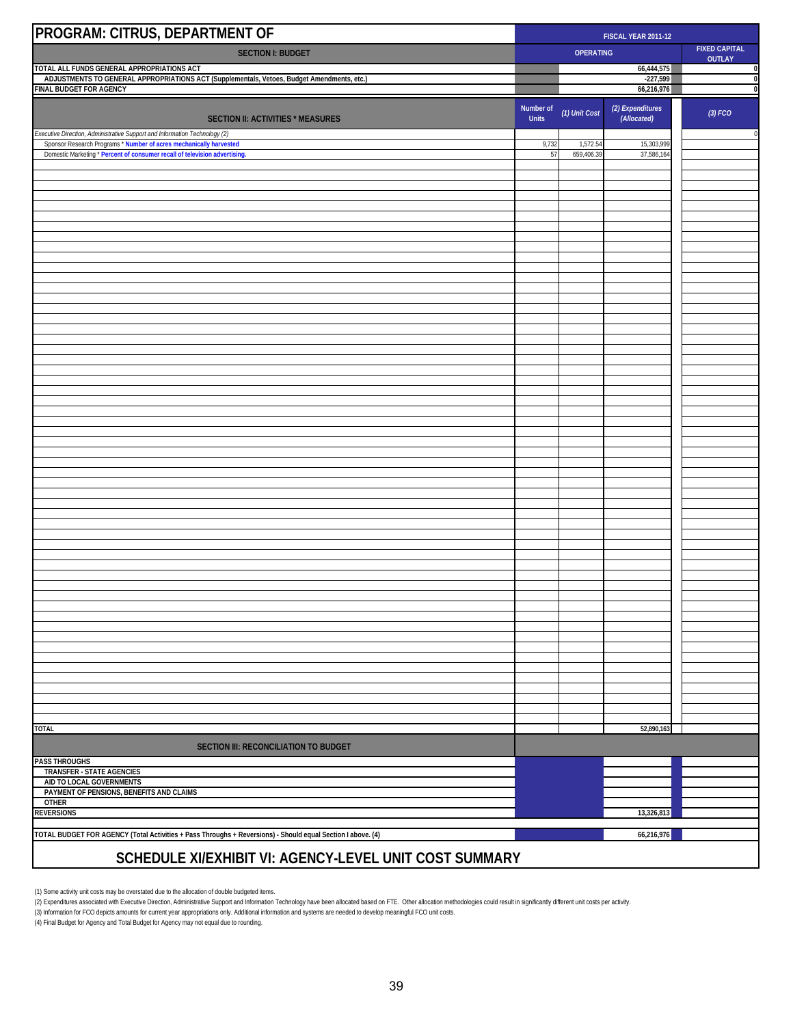| PROGRAM: CITRUS, DEPARTMENT OF                                                                                                                   |                    | FISCAL YEAR 2011-12 |                                                           |           |  |
|--------------------------------------------------------------------------------------------------------------------------------------------------|--------------------|---------------------|-----------------------------------------------------------|-----------|--|
| <b>SECTION I: BUDGET</b>                                                                                                                         |                    |                     | <b>FIXED CAPITAL</b><br><b>OPERATING</b><br><b>OUTLAY</b> |           |  |
| TOTAL ALL FUNDS GENERAL APPROPRIATIONS ACT<br>ADJUSTMENTS TO GENERAL APPROPRIATIONS ACT (Supplementals, Vetoes, Budget Amendments, etc.)         |                    |                     | 66,444,575<br>$-227,599$                                  | 0<br>0    |  |
| FINAL BUDGET FOR AGENCY                                                                                                                          |                    |                     | 66,216,976                                                | $\pmb{0}$ |  |
| <b>SECTION II: ACTIVITIES * MEASURES</b>                                                                                                         | Number of<br>Units | (1) Unit Cost       | (2) Expenditures<br>(Allocated)                           | (3) FCO   |  |
| Executive Direction, Administrative Support and Information Technology (2)<br>Sponsor Research Programs * Number of acres mechanically harvested | 9,732              | 1,572.54            | 15,303,999                                                | $\,0\,$   |  |
| Domestic Marketing * Percent of consumer recall of television advertising.                                                                       | 57                 | 659,406.39          | 37,586,164                                                |           |  |
|                                                                                                                                                  |                    |                     |                                                           |           |  |
|                                                                                                                                                  |                    |                     |                                                           |           |  |
|                                                                                                                                                  |                    |                     |                                                           |           |  |
|                                                                                                                                                  |                    |                     |                                                           |           |  |
|                                                                                                                                                  |                    |                     |                                                           |           |  |
|                                                                                                                                                  |                    |                     |                                                           |           |  |
|                                                                                                                                                  |                    |                     |                                                           |           |  |
|                                                                                                                                                  |                    |                     |                                                           |           |  |
|                                                                                                                                                  |                    |                     |                                                           |           |  |
|                                                                                                                                                  |                    |                     |                                                           |           |  |
|                                                                                                                                                  |                    |                     |                                                           |           |  |
|                                                                                                                                                  |                    |                     |                                                           |           |  |
|                                                                                                                                                  |                    |                     |                                                           |           |  |
|                                                                                                                                                  |                    |                     |                                                           |           |  |
|                                                                                                                                                  |                    |                     |                                                           |           |  |
|                                                                                                                                                  |                    |                     |                                                           |           |  |
|                                                                                                                                                  |                    |                     |                                                           |           |  |
|                                                                                                                                                  |                    |                     |                                                           |           |  |
|                                                                                                                                                  |                    |                     |                                                           |           |  |
|                                                                                                                                                  |                    |                     |                                                           |           |  |
|                                                                                                                                                  |                    |                     |                                                           |           |  |
|                                                                                                                                                  |                    |                     |                                                           |           |  |
|                                                                                                                                                  |                    |                     |                                                           |           |  |
|                                                                                                                                                  |                    |                     |                                                           |           |  |
|                                                                                                                                                  |                    |                     |                                                           |           |  |
|                                                                                                                                                  |                    |                     |                                                           |           |  |
|                                                                                                                                                  |                    |                     |                                                           |           |  |
|                                                                                                                                                  |                    |                     |                                                           |           |  |
|                                                                                                                                                  |                    |                     |                                                           |           |  |
| <b>TOTAL</b>                                                                                                                                     |                    |                     | 52,890,163                                                |           |  |
| <b>SECTION III: RECONCILIATION TO BUDGET</b>                                                                                                     |                    |                     |                                                           |           |  |
| <b>PASS THROUGHS</b><br>TRANSFER - STATE AGENCIES                                                                                                |                    |                     |                                                           |           |  |
| AID TO LOCAL GOVERNMENTS                                                                                                                         |                    |                     |                                                           |           |  |
| PAYMENT OF PENSIONS, BENEFITS AND CLAIMS<br><b>OTHER</b>                                                                                         |                    |                     |                                                           |           |  |
| <b>REVERSIONS</b>                                                                                                                                |                    |                     | 13,326,813                                                |           |  |
| TOTAL BUDGET FOR AGENCY (Total Activities + Pass Throughs + Reversions) - Should equal Section I above. (4)                                      |                    |                     | 66,216,976                                                |           |  |
| SCHEDULE XI/EXHIBIT VI: AGENCY-LEVEL UNIT COST SUMMARY                                                                                           |                    |                     |                                                           |           |  |

(1) Some activity unit costs may be overstated due to the allocation of double budgeted items.

(2) Expenditures associated with Executive Direction, Administrative Support and Information Technology have been allocated based on FTE. Other allocation methodologies could result in significantly different unit costs pe

(4) Final Budget for Agency and Total Budget for Agency may not equal due to rounding.